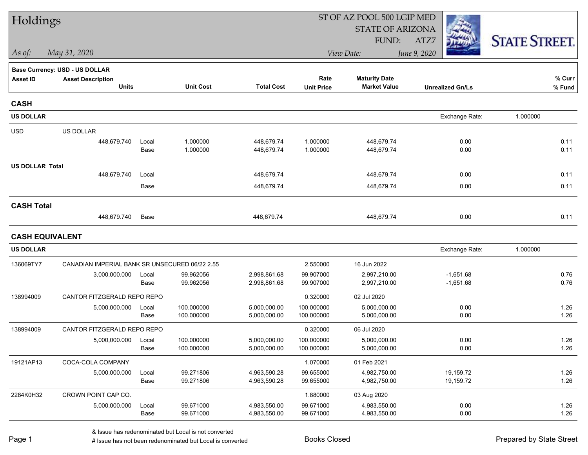| Holdings               |                                                |       |                  |                   |                   | ST OF AZ POOL 500 LGIP MED |                         |                      |  |
|------------------------|------------------------------------------------|-------|------------------|-------------------|-------------------|----------------------------|-------------------------|----------------------|--|
|                        |                                                |       |                  |                   |                   | <b>STATE OF ARIZONA</b>    |                         |                      |  |
|                        |                                                |       |                  |                   |                   | FUND:                      | ATZ7                    | <b>STATE STREET.</b> |  |
| As of:                 | May 31, 2020                                   |       |                  |                   |                   | View Date:                 | June 9, 2020            |                      |  |
|                        | <b>Base Currency: USD - US DOLLAR</b>          |       |                  |                   |                   |                            |                         |                      |  |
| <b>Asset ID</b>        | <b>Asset Description</b>                       |       |                  |                   | Rate              | <b>Maturity Date</b>       |                         | % Curr               |  |
|                        | <b>Units</b>                                   |       | <b>Unit Cost</b> | <b>Total Cost</b> | <b>Unit Price</b> | <b>Market Value</b>        | <b>Unrealized Gn/Ls</b> | % Fund               |  |
| <b>CASH</b>            |                                                |       |                  |                   |                   |                            |                         |                      |  |
| <b>US DOLLAR</b>       |                                                |       |                  |                   |                   |                            | Exchange Rate:          | 1.000000             |  |
| <b>USD</b>             | US DOLLAR                                      |       |                  |                   |                   |                            |                         |                      |  |
|                        | 448,679.740                                    | Local | 1.000000         | 448,679.74        | 1.000000          | 448,679.74                 | 0.00                    | 0.11                 |  |
|                        |                                                | Base  | 1.000000         | 448,679.74        | 1.000000          | 448,679.74                 | 0.00                    | 0.11                 |  |
| <b>US DOLLAR Total</b> |                                                |       |                  |                   |                   |                            |                         |                      |  |
|                        | 448,679.740                                    | Local |                  | 448,679.74        |                   | 448,679.74                 | 0.00                    | 0.11                 |  |
|                        |                                                | Base  |                  | 448,679.74        |                   | 448,679.74                 | 0.00                    | 0.11                 |  |
| <b>CASH Total</b>      |                                                |       |                  |                   |                   |                            |                         |                      |  |
|                        | 448,679.740                                    | Base  |                  | 448,679.74        |                   | 448,679.74                 | 0.00                    | 0.11                 |  |
| <b>CASH EQUIVALENT</b> |                                                |       |                  |                   |                   |                            |                         |                      |  |
| <b>US DOLLAR</b>       |                                                |       |                  |                   |                   |                            | Exchange Rate:          | 1.000000             |  |
| 136069TY7              | CANADIAN IMPERIAL BANK SR UNSECURED 06/22 2.55 |       |                  |                   | 2.550000          | 16 Jun 2022                |                         |                      |  |
|                        | 3,000,000.000                                  | Local | 99.962056        | 2,998,861.68      | 99.907000         | 2,997,210.00               | $-1,651.68$             | 0.76                 |  |
|                        |                                                | Base  | 99.962056        | 2,998,861.68      | 99.907000         | 2,997,210.00               | $-1,651.68$             | 0.76                 |  |
| 138994009              | CANTOR FITZGERALD REPO REPO                    |       |                  |                   | 0.320000          | 02 Jul 2020                |                         |                      |  |
|                        | 5,000,000.000                                  | Local | 100.000000       | 5,000,000.00      | 100.000000        | 5,000,000.00               | 0.00                    | 1.26                 |  |
|                        |                                                | Base  | 100.000000       | 5,000,000.00      | 100.000000        | 5,000,000.00               | 0.00                    | 1.26                 |  |
| 138994009              | CANTOR FITZGERALD REPO REPO                    |       |                  |                   | 0.320000          | 06 Jul 2020                |                         |                      |  |
|                        | 5,000,000.000                                  | Local | 100.000000       | 5,000,000.00      | 100.000000        | 5.000.000.00               | 0.00                    | 1.26                 |  |
|                        |                                                | Base  | 100.000000       | 5,000,000.00      | 100.000000        | 5,000,000.00               | 0.00                    | 1.26                 |  |
| 19121AP13              | COCA-COLA COMPANY                              |       |                  |                   | 1.070000          | 01 Feb 2021                |                         |                      |  |
|                        | 5,000,000.000                                  | Local | 99.271806        | 4,963,590.28      | 99.655000         | 4,982,750.00               | 19,159.72               | 1.26                 |  |
|                        |                                                | Base  | 99.271806        | 4,963,590.28      | 99.655000         | 4,982,750.00               | 19,159.72               | 1.26                 |  |
| 2284K0H32              | CROWN POINT CAP CO.                            |       |                  |                   | 1.880000          | 03 Aug 2020                |                         |                      |  |
|                        | 5,000,000.000                                  | Local | 99.671000        | 4,983,550.00      | 99.671000         | 4,983,550.00               | 0.00                    | 1.26                 |  |
|                        |                                                | Base  | 99.671000        | 4,983,550.00      | 99.671000         | 4,983,550.00               | 0.00                    | 1.26                 |  |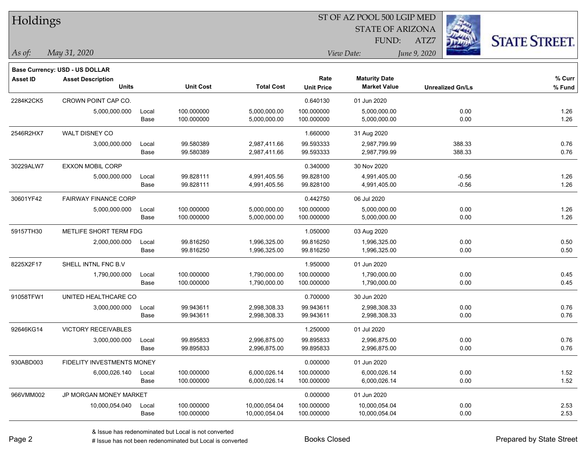| Holdings        |                                |       |                  |                   |                         | ST OF AZ POOL 500 LGIP MED |              |                         |                      |  |
|-----------------|--------------------------------|-------|------------------|-------------------|-------------------------|----------------------------|--------------|-------------------------|----------------------|--|
|                 |                                |       |                  |                   | <b>STATE OF ARIZONA</b> |                            |              |                         |                      |  |
|                 |                                |       |                  |                   | FUND:                   |                            | ATZ7         |                         | <b>STATE STREET.</b> |  |
| As of:          | May 31, 2020                   |       |                  |                   |                         | View Date:                 | June 9, 2020 |                         |                      |  |
|                 | Base Currency: USD - US DOLLAR |       |                  |                   |                         |                            |              |                         |                      |  |
| <b>Asset ID</b> | <b>Asset Description</b>       |       |                  |                   | Rate                    | <b>Maturity Date</b>       |              |                         | % Curr               |  |
|                 | <b>Units</b>                   |       | <b>Unit Cost</b> | <b>Total Cost</b> | <b>Unit Price</b>       | <b>Market Value</b>        |              | <b>Unrealized Gn/Ls</b> | % Fund               |  |
| 2284K2CK5       | CROWN POINT CAP CO.            |       |                  |                   | 0.640130                | 01 Jun 2020                |              |                         |                      |  |
|                 | 5,000,000.000                  | Local | 100.000000       | 5,000,000.00      | 100.000000              | 5,000,000.00               |              | 0.00                    | 1.26                 |  |
|                 |                                | Base  | 100.000000       | 5,000,000.00      | 100.000000              | 5,000,000.00               |              | 0.00                    | 1.26                 |  |
| 2546R2HX7       | WALT DISNEY CO                 |       |                  |                   | 1.660000                | 31 Aug 2020                |              |                         |                      |  |
|                 | 3,000,000.000                  | Local | 99.580389        | 2,987,411.66      | 99.593333               | 2,987,799.99               |              | 388.33                  | 0.76                 |  |
|                 |                                | Base  | 99.580389        | 2,987,411.66      | 99.593333               | 2,987,799.99               |              | 388.33                  | 0.76                 |  |
| 30229ALW7       | <b>EXXON MOBIL CORP</b>        |       |                  |                   | 0.340000                | 30 Nov 2020                |              |                         |                      |  |
|                 | 5,000,000.000                  | Local | 99.828111        | 4,991,405.56      | 99.828100               | 4,991,405.00               |              | $-0.56$                 | 1.26                 |  |
|                 |                                | Base  | 99.828111        | 4,991,405.56      | 99.828100               | 4,991,405.00               |              | $-0.56$                 | 1.26                 |  |
| 30601YF42       | <b>FAIRWAY FINANCE CORP</b>    |       |                  |                   | 0.442750                | 06 Jul 2020                |              |                         |                      |  |
|                 | 5,000,000.000                  | Local | 100.000000       | 5,000,000.00      | 100.000000              | 5,000,000.00               |              | 0.00                    | 1.26                 |  |
|                 |                                | Base  | 100.000000       | 5,000,000.00      | 100.000000              | 5,000,000.00               |              | 0.00                    | 1.26                 |  |
| 59157TH30       | METLIFE SHORT TERM FDG         |       |                  |                   | 1.050000                | 03 Aug 2020                |              |                         |                      |  |
|                 | 2,000,000.000                  | Local | 99.816250        | 1,996,325.00      | 99.816250               | 1,996,325.00               |              | 0.00                    | 0.50                 |  |
|                 |                                | Base  | 99.816250        | 1,996,325.00      | 99.816250               | 1,996,325.00               |              | 0.00                    | 0.50                 |  |
| 8225X2F17       | SHELL INTNL FNC B.V            |       |                  |                   | 1.950000                | 01 Jun 2020                |              |                         |                      |  |
|                 | 1,790,000.000                  | Local | 100.000000       | 1,790,000.00      | 100.000000              | 1,790,000.00               |              | 0.00                    | 0.45                 |  |
|                 |                                | Base  | 100.000000       | 1,790,000.00      | 100.000000              | 1,790,000.00               |              | 0.00                    | 0.45                 |  |
| 91058TFW1       | UNITED HEALTHCARE CO           |       |                  |                   | 0.700000                | 30 Jun 2020                |              |                         |                      |  |
|                 | 3,000,000.000                  | Local | 99.943611        | 2,998,308.33      | 99.943611               | 2,998,308.33               |              | 0.00                    | 0.76                 |  |
|                 |                                | Base  | 99.943611        | 2,998,308.33      | 99.943611               | 2,998,308.33               |              | 0.00                    | 0.76                 |  |
| 92646KG14       | <b>VICTORY RECEIVABLES</b>     |       |                  |                   | 1.250000                | 01 Jul 2020                |              |                         |                      |  |
|                 | 3,000,000.000                  | Local | 99.895833        | 2,996,875.00      | 99.895833               | 2,996,875.00               |              | 0.00                    | 0.76                 |  |
|                 |                                | Base  | 99.895833        | 2,996,875.00      | 99.895833               | 2,996,875.00               |              | 0.00                    | 0.76                 |  |
| 930ABD003       | FIDELITY INVESTMENTS MONEY     |       |                  |                   | 0.000000                | 01 Jun 2020                |              |                         |                      |  |
|                 | 6,000,026.140                  | Local | 100.000000       | 6,000,026.14      | 100.000000              | 6,000,026.14               |              | 0.00                    | 1.52                 |  |
|                 |                                | Base  | 100.000000       | 6,000,026.14      | 100.000000              | 6,000,026.14               |              | 0.00                    | 1.52                 |  |
| 966VMM002       | JP MORGAN MONEY MARKET         |       |                  |                   | 0.000000                | 01 Jun 2020                |              |                         |                      |  |
|                 | 10,000,054.040                 | Local | 100.000000       | 10,000,054.04     | 100.000000              | 10,000,054.04              |              | 0.00                    | 2.53                 |  |
|                 |                                | Base  | 100.000000       | 10,000,054.04     | 100.000000              | 10,000,054.04              |              | 0.00                    | 2.53                 |  |

 $\overline{\phantom{a}}$ 

 $\overline{\phantom{a}}$ 

 $\overline{\phantom{a}}$ 

 $\overline{\phantom{a}}$ 

 $\overline{\phantom{a}}$ 

 $\overline{\phantom{0}}$ 

 $\overline{a}$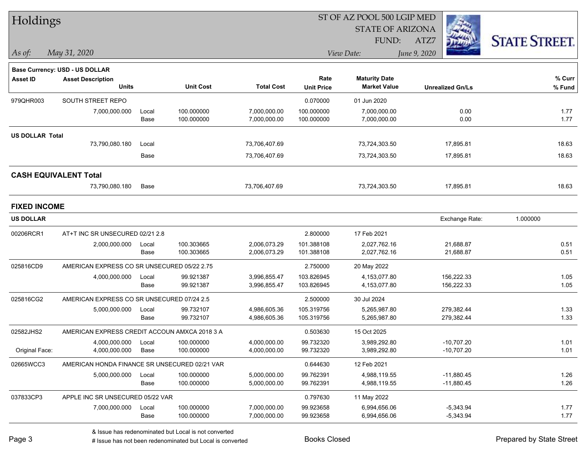| Holdings               |                                                                   |       |                  |                   |                   | ST OF AZ POOL 500 LGIP MED |                         |                      |  |
|------------------------|-------------------------------------------------------------------|-------|------------------|-------------------|-------------------|----------------------------|-------------------------|----------------------|--|
|                        |                                                                   |       |                  |                   |                   | <b>STATE OF ARIZONA</b>    |                         |                      |  |
|                        |                                                                   |       |                  |                   |                   | FUND:                      | ATZ7                    | <b>STATE STREET.</b> |  |
| $\vert$ As of:         | May 31, 2020                                                      |       |                  |                   |                   | View Date:                 | June 9, 2020            |                      |  |
|                        |                                                                   |       |                  |                   |                   |                            |                         |                      |  |
| <b>Asset ID</b>        | <b>Base Currency: USD - US DOLLAR</b><br><b>Asset Description</b> |       |                  |                   | Rate              | <b>Maturity Date</b>       |                         | % Curr               |  |
|                        | <b>Units</b>                                                      |       | <b>Unit Cost</b> | <b>Total Cost</b> | <b>Unit Price</b> | <b>Market Value</b>        | <b>Unrealized Gn/Ls</b> | % Fund               |  |
| 979QHR003              | SOUTH STREET REPO                                                 |       |                  |                   | 0.070000          | 01 Jun 2020                |                         |                      |  |
|                        | 7,000,000.000                                                     | Local | 100.000000       | 7,000,000.00      | 100.000000        | 7,000,000.00               | 0.00                    | 1.77                 |  |
|                        |                                                                   | Base  | 100.000000       | 7,000,000.00      | 100.000000        | 7,000,000.00               | 0.00                    | 1.77                 |  |
| <b>US DOLLAR Total</b> |                                                                   |       |                  |                   |                   |                            |                         |                      |  |
|                        | 73,790,080.180                                                    | Local |                  | 73,706,407.69     |                   | 73,724,303.50              | 17,895.81               | 18.63                |  |
|                        |                                                                   | Base  |                  | 73,706,407.69     |                   | 73,724,303.50              | 17,895.81               | 18.63                |  |
|                        | <b>CASH EQUIVALENT Total</b>                                      |       |                  |                   |                   |                            |                         |                      |  |
|                        | 73,790,080.180                                                    | Base  |                  | 73,706,407.69     |                   | 73,724,303.50              | 17,895.81               | 18.63                |  |
| <b>FIXED INCOME</b>    |                                                                   |       |                  |                   |                   |                            |                         |                      |  |
| <b>US DOLLAR</b>       |                                                                   |       |                  |                   |                   |                            | Exchange Rate:          | 1.000000             |  |
| 00206RCR1              | AT+T INC SR UNSECURED 02/21 2.8                                   |       |                  |                   | 2.800000          | 17 Feb 2021                |                         |                      |  |
|                        | 2,000,000.000                                                     | Local | 100.303665       | 2,006,073.29      | 101.388108        | 2,027,762.16               | 21,688.87               | 0.51                 |  |
|                        |                                                                   | Base  | 100.303665       | 2,006,073.29      | 101.388108        | 2,027,762.16               | 21,688.87               | 0.51                 |  |
| 025816CD9              | AMERICAN EXPRESS CO SR UNSECURED 05/22 2.75                       |       |                  |                   | 2.750000          | 20 May 2022                |                         |                      |  |
|                        | 4,000,000.000                                                     | Local | 99.921387        | 3,996,855.47      | 103.826945        | 4,153,077.80               | 156,222.33              | 1.05                 |  |
|                        |                                                                   | Base  | 99.921387        | 3,996,855.47      | 103.826945        | 4,153,077.80               | 156,222.33              | 1.05                 |  |
| 025816CG2              | AMERICAN EXPRESS CO SR UNSECURED 07/24 2.5                        |       |                  |                   | 2.500000          | 30 Jul 2024                |                         |                      |  |
|                        | 5,000,000.000                                                     | Local | 99.732107        | 4,986,605.36      | 105.319756        | 5,265,987.80               | 279,382.44              | 1.33                 |  |
|                        |                                                                   | Base  | 99.732107        | 4,986,605.36      | 105.319756        | 5,265,987.80               | 279,382.44              | 1.33                 |  |
| 02582JHS2              | AMERICAN EXPRESS CREDIT ACCOUN AMXCA 2018 3 A                     |       |                  |                   | 0.503630          | 15 Oct 2025                |                         |                      |  |
|                        | 4,000,000.000                                                     | Local | 100.000000       | 4,000,000.00      | 99.732320         | 3,989,292.80               | $-10,707.20$            | 1.01                 |  |
| Original Face:         | 4,000,000.000                                                     | Base  | 100.000000       | 4,000,000.00      | 99.732320         | 3,989,292.80               | $-10,707.20$            | 1.01                 |  |
| 02665WCC3              | AMERICAN HONDA FINANCE SR UNSECURED 02/21 VAR                     |       |                  |                   | 0.644630          | 12 Feb 2021                |                         |                      |  |
|                        | 5,000,000.000                                                     | Local | 100.000000       | 5,000,000.00      | 99.762391         | 4,988,119.55               | $-11,880.45$            | 1.26                 |  |
|                        |                                                                   | Base  | 100.000000       | 5,000,000.00      | 99.762391         | 4,988,119.55               | $-11,880.45$            | 1.26                 |  |
| 037833CP3              | APPLE INC SR UNSECURED 05/22 VAR                                  |       |                  |                   | 0.797630          | 11 May 2022                |                         |                      |  |
|                        | 7,000,000.000                                                     | Local | 100.000000       | 7,000,000.00      | 99.923658         | 6,994,656.06               | $-5,343.94$             | 1.77                 |  |
|                        |                                                                   | Base  | 100.000000       | 7,000,000.00      | 99.923658         | 6,994,656.06               | $-5,343.94$             | 1.77                 |  |

denote the redenominated but Local is converted Books Closed Prepared by State Street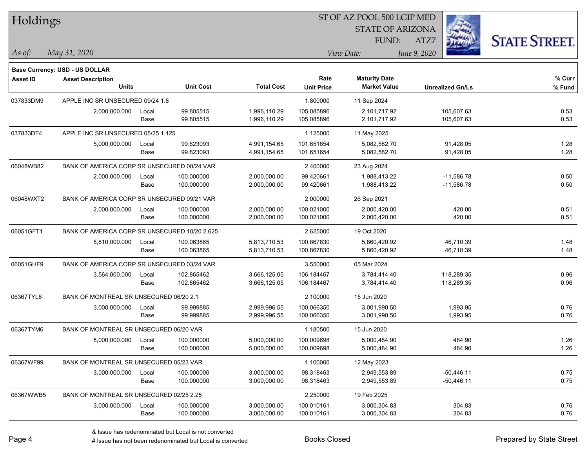| Holdings        |                                               |       |                  |                   |                         | ST OF AZ POOL 500 LGIP MED |                         |                      |  |
|-----------------|-----------------------------------------------|-------|------------------|-------------------|-------------------------|----------------------------|-------------------------|----------------------|--|
|                 |                                               |       |                  |                   | <b>STATE OF ARIZONA</b> |                            |                         |                      |  |
|                 |                                               |       |                  |                   |                         | FUND:                      | ATZ7                    | <b>STATE STREET.</b> |  |
| As of:          | May 31, 2020                                  |       |                  |                   |                         | View Date:                 | June 9, 2020            |                      |  |
|                 | Base Currency: USD - US DOLLAR                |       |                  |                   |                         |                            |                         |                      |  |
| <b>Asset ID</b> | <b>Asset Description</b>                      |       |                  |                   | Rate                    | <b>Maturity Date</b>       |                         | % Curr               |  |
|                 | <b>Units</b>                                  |       | <b>Unit Cost</b> | <b>Total Cost</b> | <b>Unit Price</b>       | <b>Market Value</b>        | <b>Unrealized Gn/Ls</b> | % Fund               |  |
| 037833DM9       | APPLE INC SR UNSECURED 09/24 1.8              |       |                  |                   | 1.800000                | 11 Sep 2024                |                         |                      |  |
|                 | 2,000,000.000                                 | Local | 99.805515        | 1,996,110.29      | 105.085896              | 2,101,717.92               | 105,607.63              | 0.53                 |  |
|                 |                                               | Base  | 99.805515        | 1,996,110.29      | 105.085896              | 2,101,717.92               | 105,607.63              | 0.53                 |  |
| 037833DT4       | APPLE INC SR UNSECURED 05/25 1.125            |       |                  |                   | 1.125000                | 11 May 2025                |                         |                      |  |
|                 | 5,000,000.000                                 | Local | 99.823093        | 4,991,154.65      | 101.651654              | 5,082,582.70               | 91,428.05               | 1.28                 |  |
|                 |                                               | Base  | 99.823093        | 4,991,154.65      | 101.651654              | 5,082,582.70               | 91,428.05               | 1.28                 |  |
| 06048WB82       | BANK OF AMERICA CORP SR UNSECURED 08/24 VAR   |       |                  |                   | 2.400000                | 23 Aug 2024                |                         |                      |  |
|                 | 2,000,000.000                                 | Local | 100.000000       | 2,000,000.00      | 99.420661               | 1,988,413.22               | $-11,586.78$            | 0.50                 |  |
|                 |                                               | Base  | 100.000000       | 2,000,000.00      | 99.420661               | 1,988,413.22               | $-11,586.78$            | 0.50                 |  |
| 06048WXT2       | BANK OF AMERICA CORP SR UNSECURED 09/21 VAR   |       |                  |                   | 2.000000                | 26 Sep 2021                |                         |                      |  |
|                 | 2,000,000.000                                 | Local | 100.000000       | 2,000,000.00      | 100.021000              | 2,000,420.00               | 420.00                  | 0.51                 |  |
|                 |                                               | Base  | 100.000000       | 2,000,000.00      | 100.021000              | 2,000,420.00               | 420.00                  | 0.51                 |  |
| 06051GFT1       | BANK OF AMERICA CORP SR UNSECURED 10/20 2.625 |       |                  |                   | 2.625000                | 19 Oct 2020                |                         |                      |  |
|                 | 5,810,000.000                                 | Local | 100.063865       | 5,813,710.53      | 100.867830              | 5,860,420.92               | 46,710.39               | 1.48                 |  |
|                 |                                               | Base  | 100.063865       | 5,813,710.53      | 100.867830              | 5,860,420.92               | 46,710.39               | 1.48                 |  |
| 06051GHF9       | BANK OF AMERICA CORP SR UNSECURED 03/24 VAR   |       |                  |                   | 3.550000                | 05 Mar 2024                |                         |                      |  |
|                 | 3,564,000.000                                 | Local | 102.865462       | 3,666,125.05      | 106.184467              | 3,784,414.40               | 118,289.35              | 0.96                 |  |
|                 |                                               | Base  | 102.865462       | 3,666,125.05      | 106.184467              | 3,784,414.40               | 118,289.35              | 0.96                 |  |
| 06367TYL8       | BANK OF MONTREAL SR UNSECURED 06/20 2.1       |       |                  |                   | 2.100000                | 15 Jun 2020                |                         |                      |  |
|                 | 3,000,000.000                                 | Local | 99.999885        | 2,999,996.55      | 100.066350              | 3,001,990.50               | 1,993.95                | 0.76                 |  |
|                 |                                               | Base  | 99.999885        | 2,999,996.55      | 100.066350              | 3,001,990.50               | 1,993.95                | 0.76                 |  |
| 06367TYM6       | BANK OF MONTREAL SR UNSECURED 06/20 VAR       |       |                  |                   | 1.180500                | 15 Jun 2020                |                         |                      |  |
|                 | 5,000,000.000                                 | Local | 100.000000       | 5,000,000.00      | 100.009698              | 5,000,484.90               | 484.90                  | 1.26                 |  |
|                 |                                               | Base  | 100.000000       | 5,000,000.00      | 100.009698              | 5,000,484.90               | 484.90                  | 1.26                 |  |
| 06367WF99       | BANK OF MONTREAL SR UNSECURED 05/23 VAR       |       |                  |                   | 1.100000                | 12 May 2023                |                         |                      |  |
|                 | 3,000,000.000                                 | Local | 100.000000       | 3,000,000.00      | 98.318463               | 2,949,553.89               | $-50,446.11$            | 0.75                 |  |
|                 |                                               | Base  | 100.000000       | 3,000,000.00      | 98.318463               | 2,949,553.89               | $-50,446.11$            | 0.75                 |  |
| 06367WWB5       | BANK OF MONTREAL SR UNSECURED 02/25 2.25      |       |                  |                   | 2.250000                | 19 Feb 2025                |                         |                      |  |
|                 | 3,000,000.000                                 | Local | 100.000000       | 3,000,000.00      | 100.010161              | 3,000,304.83               | 304.83                  | 0.76                 |  |
|                 |                                               | Base  | 100.000000       | 3,000,000.00      | 100.010161              | 3,000,304.83               | 304.83                  | 0.76                 |  |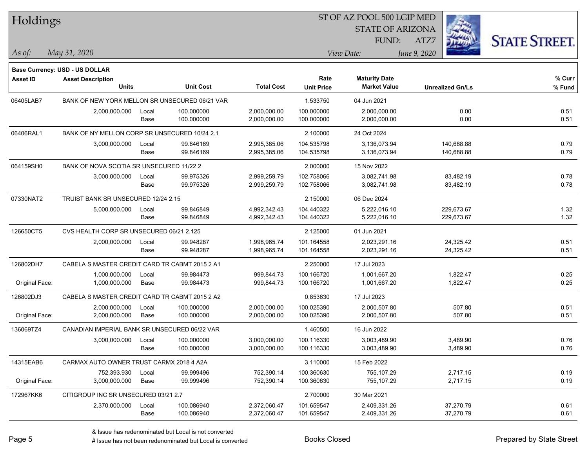| Holdings        |                                                |       |                  |                   |                           | ST OF AZ POOL 500 LGIP MED                  |                         |                      |
|-----------------|------------------------------------------------|-------|------------------|-------------------|---------------------------|---------------------------------------------|-------------------------|----------------------|
|                 |                                                |       |                  |                   |                           | <b>STATE OF ARIZONA</b>                     |                         |                      |
|                 |                                                |       |                  |                   |                           | <b>FUND:</b>                                | ATZ7                    | <b>STATE STREET.</b> |
| $\vert$ As of:  | May 31, 2020                                   |       |                  |                   |                           | View Date:                                  | June 9, 2020            |                      |
|                 |                                                |       |                  |                   |                           |                                             |                         |                      |
|                 | <b>Base Currency: USD - US DOLLAR</b>          |       |                  |                   |                           |                                             |                         |                      |
| <b>Asset ID</b> | <b>Asset Description</b><br><b>Units</b>       |       | <b>Unit Cost</b> | <b>Total Cost</b> | Rate<br><b>Unit Price</b> | <b>Maturity Date</b><br><b>Market Value</b> | <b>Unrealized Gn/Ls</b> | % Curr<br>$%$ Fund   |
| 06405LAB7       | BANK OF NEW YORK MELLON SR UNSECURED 06/21 VAR |       |                  |                   | 1.533750                  | 04 Jun 2021                                 |                         |                      |
|                 | 2,000,000.000                                  | Local | 100.000000       | 2,000,000.00      | 100.000000                | 2,000,000.00                                | 0.00                    | 0.51                 |
|                 |                                                | Base  | 100.000000       | 2,000,000.00      | 100.000000                | 2,000,000.00                                | 0.00                    | 0.51                 |
| 06406RAL1       | BANK OF NY MELLON CORP SR UNSECURED 10/24 2.1  |       |                  |                   | 2.100000                  | 24 Oct 2024                                 |                         |                      |
|                 | 3,000,000.000                                  | Local | 99.846169        | 2,995,385.06      | 104.535798                | 3,136,073.94                                | 140,688.88              | 0.79                 |
|                 |                                                | Base  | 99.846169        | 2,995,385.06      | 104.535798                | 3,136,073.94                                | 140,688.88              | 0.79                 |
| 064159SH0       | BANK OF NOVA SCOTIA SR UNSECURED 11/22 2       |       |                  |                   | 2.000000                  | 15 Nov 2022                                 |                         |                      |
|                 | 3,000,000.000                                  | Local | 99.975326        | 2,999,259.79      | 102.758066                | 3,082,741.98                                | 83,482.19               | 0.78                 |
|                 |                                                | Base  | 99.975326        | 2,999,259.79      | 102.758066                | 3,082,741.98                                | 83,482.19               | 0.78                 |
| 07330NAT2       | TRUIST BANK SR UNSECURED 12/24 2.15            |       |                  |                   | 2.150000                  | 06 Dec 2024                                 |                         |                      |
|                 | 5,000,000.000                                  | Local | 99.846849        | 4,992,342.43      | 104.440322                | 5,222,016.10                                | 229,673.67              | 1.32                 |
|                 |                                                | Base  | 99.846849        | 4,992,342.43      | 104.440322                | 5,222,016.10                                | 229,673.67              | 1.32                 |
| 126650CT5       | CVS HEALTH CORP SR UNSECURED 06/21 2.125       |       |                  |                   | 2.125000                  | 01 Jun 2021                                 |                         |                      |
|                 | 2,000,000.000                                  | Local | 99.948287        | 1,998,965.74      | 101.164558                | 2,023,291.16                                | 24,325.42               | 0.51                 |
|                 |                                                | Base  | 99.948287        | 1,998,965.74      | 101.164558                | 2,023,291.16                                | 24,325.42               | 0.51                 |
| 126802DH7       | CABELA S MASTER CREDIT CARD TR CABMT 2015 2 A1 |       |                  |                   | 2.250000                  | 17 Jul 2023                                 |                         |                      |
|                 | 1,000,000.000                                  | Local | 99.984473        | 999,844.73        | 100.166720                | 1,001,667.20                                | 1,822.47                | 0.25                 |
| Original Face:  | 1,000,000.000                                  | Base  | 99.984473        | 999,844.73        | 100.166720                | 1,001,667.20                                | 1,822.47                | 0.25                 |
| 126802DJ3       | CABELA S MASTER CREDIT CARD TR CABMT 2015 2 A2 |       |                  |                   | 0.853630                  | 17 Jul 2023                                 |                         |                      |
|                 | 2,000,000.000                                  | Local | 100.000000       | 2,000,000.00      | 100.025390                | 2,000,507.80                                | 507.80                  | 0.51                 |
| Original Face:  | 2,000,000.000                                  | Base  | 100.000000       | 2,000,000.00      | 100.025390                | 2,000,507.80                                | 507.80                  | 0.51                 |
| 136069TZ4       | CANADIAN IMPERIAL BANK SR UNSECURED 06/22 VAR  |       |                  |                   | 1.460500                  | 16 Jun 2022                                 |                         |                      |
|                 | 3,000,000.000                                  | Local | 100.000000       | 3,000,000.00      | 100.116330                | 3,003,489.90                                | 3,489.90                | 0.76                 |
|                 |                                                | Base  | 100.000000       | 3,000,000.00      | 100.116330                | 3,003,489.90                                | 3,489.90                | 0.76                 |
| 14315EAB6       | CARMAX AUTO OWNER TRUST CARMX 2018 4 A2A       |       |                  |                   | 3.110000                  | 15 Feb 2022                                 |                         |                      |
|                 | 752,393.930                                    | Local | 99.999496        | 752,390.14        | 100.360630                | 755,107.29                                  | 2,717.15                | 0.19                 |
| Original Face:  | 3,000,000.000                                  | Base  | 99.999496        | 752,390.14        | 100.360630                | 755,107.29                                  | 2,717.15                | 0.19                 |
| 172967KK6       | CITIGROUP INC SR UNSECURED 03/21 2.7           |       |                  |                   | 2.700000                  | 30 Mar 2021                                 |                         |                      |
|                 | 2,370,000.000                                  | Local | 100.086940       | 2,372,060.47      | 101.659547                | 2,409,331.26                                | 37,270.79               | 0.61                 |
|                 |                                                | Base  | 100.086940       | 2,372,060.47      | 101.659547                | 2,409,331.26                                | 37,270.79               | 0.61                 |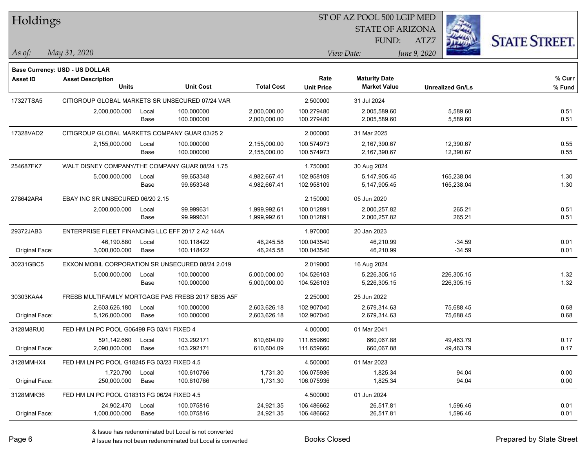| Holdings        |                                                   |               |                                                    |                              |                           | ST OF AZ POOL 500 LGIP MED                  |                          |                      |  |  |
|-----------------|---------------------------------------------------|---------------|----------------------------------------------------|------------------------------|---------------------------|---------------------------------------------|--------------------------|----------------------|--|--|
|                 |                                                   |               |                                                    |                              | <b>STATE OF ARIZONA</b>   |                                             |                          |                      |  |  |
|                 |                                                   |               |                                                    |                              |                           | FUND:                                       | ATZ7                     | <b>STATE STREET.</b> |  |  |
| As of:          | May 31, 2020                                      |               |                                                    |                              |                           | View Date:                                  | June 9, 2020             |                      |  |  |
|                 |                                                   |               |                                                    |                              |                           |                                             |                          |                      |  |  |
|                 | Base Currency: USD - US DOLLAR                    |               |                                                    |                              |                           |                                             |                          |                      |  |  |
| <b>Asset ID</b> | <b>Asset Description</b><br><b>Units</b>          |               | <b>Unit Cost</b>                                   | <b>Total Cost</b>            | Rate<br><b>Unit Price</b> | <b>Maturity Date</b><br><b>Market Value</b> | <b>Unrealized Gn/Ls</b>  | % Curr<br>% Fund     |  |  |
|                 |                                                   |               |                                                    |                              |                           |                                             |                          |                      |  |  |
| 17327TSA5       | CITIGROUP GLOBAL MARKETS SR UNSECURED 07/24 VAR   |               |                                                    |                              | 2.500000                  | 31 Jul 2024                                 |                          |                      |  |  |
|                 | 2,000,000.000                                     | Local<br>Base | 100.000000<br>100.000000                           | 2,000,000.00<br>2,000,000.00 | 100.279480<br>100.279480  | 2,005,589.60<br>2,005,589.60                | 5,589.60<br>5,589.60     | 0.51<br>0.51         |  |  |
|                 |                                                   |               |                                                    |                              |                           |                                             |                          |                      |  |  |
| 17328VAD2       | CITIGROUP GLOBAL MARKETS COMPANY GUAR 03/25 2     |               |                                                    |                              | 2.000000                  | 31 Mar 2025                                 |                          |                      |  |  |
|                 | 2,155,000.000                                     | Local<br>Base | 100.000000<br>100.000000                           | 2,155,000.00<br>2,155,000.00 | 100.574973<br>100.574973  | 2,167,390.67<br>2,167,390.67                | 12,390.67<br>12,390.67   | 0.55<br>0.55         |  |  |
|                 |                                                   |               |                                                    |                              |                           |                                             |                          |                      |  |  |
| 254687FK7       | WALT DISNEY COMPANY/THE COMPANY GUAR 08/24 1.75   |               |                                                    |                              | 1.750000                  | 30 Aug 2024                                 |                          |                      |  |  |
|                 | 5,000,000.000                                     | Local<br>Base | 99.653348<br>99.653348                             | 4,982,667.41<br>4,982,667.41 | 102.958109<br>102.958109  | 5,147,905.45<br>5, 147, 905. 45             | 165,238.04<br>165,238.04 | 1.30<br>1.30         |  |  |
|                 |                                                   |               |                                                    |                              |                           |                                             |                          |                      |  |  |
| 278642AR4       | EBAY INC SR UNSECURED 06/20 2.15                  |               |                                                    |                              | 2.150000                  | 05 Jun 2020                                 |                          |                      |  |  |
|                 | 2,000,000.000                                     | Local<br>Base | 99.999631<br>99.999631                             | 1,999,992.61<br>1,999,992.61 | 100.012891<br>100.012891  | 2,000,257.82<br>2,000,257.82                | 265.21<br>265.21         | 0.51<br>0.51         |  |  |
|                 |                                                   |               |                                                    |                              |                           |                                             |                          |                      |  |  |
| 29372JAB3       | ENTERPRISE FLEET FINANCING LLC EFF 2017 2 A2 144A |               |                                                    |                              | 1.970000                  | 20 Jan 2023                                 |                          |                      |  |  |
|                 | 46,190.880                                        | Local         | 100.118422                                         | 46,245.58                    | 100.043540                | 46,210.99                                   | -34.59                   | 0.01<br>0.01         |  |  |
| Original Face:  | 3,000,000.000                                     | Base          | 100.118422                                         | 46,245.58                    | 100.043540                | 46,210.99                                   | $-34.59$                 |                      |  |  |
| 30231GBC5       | EXXON MOBIL CORPORATION SR UNSECURED 08/24 2.019  |               |                                                    |                              | 2.019000                  | 16 Aug 2024                                 |                          |                      |  |  |
|                 | 5,000,000.000                                     | Local         | 100.000000                                         | 5,000,000.00                 | 104.526103                | 5,226,305.15                                | 226,305.15               | 1.32                 |  |  |
|                 |                                                   | Base          | 100.000000                                         | 5,000,000.00                 | 104.526103                | 5,226,305.15                                | 226,305.15               | 1.32                 |  |  |
| 30303KAA4       |                                                   |               | FRESB MULTIFAMILY MORTGAGE PAS FRESB 2017 SB35 A5F |                              | 2.250000                  | 25 Jun 2022                                 |                          |                      |  |  |
|                 | 2,603,626.180                                     | Local         | 100.000000                                         | 2,603,626.18                 | 102.907040                | 2,679,314.63                                | 75,688.45                | 0.68                 |  |  |
| Original Face:  | 5,126,000.000                                     | Base          | 100.000000                                         | 2,603,626.18                 | 102.907040                | 2,679,314.63                                | 75,688.45                | 0.68                 |  |  |
| 3128M8RU0       | FED HM LN PC POOL G06499 FG 03/41 FIXED 4         |               |                                                    |                              | 4.000000                  | 01 Mar 2041                                 |                          |                      |  |  |
|                 | 591,142.660                                       | Local         | 103.292171                                         | 610,604.09                   | 111.659660                | 660,067.88                                  | 49,463.79                | 0.17                 |  |  |
| Original Face:  | 2,090,000.000                                     | Base          | 103.292171                                         | 610,604.09                   | 111.659660                | 660,067.88                                  | 49,463.79                | 0.17                 |  |  |
| 3128MMHX4       | FED HM LN PC POOL G18245 FG 03/23 FIXED 4.5       |               |                                                    |                              | 4.500000                  | 01 Mar 2023                                 |                          |                      |  |  |
|                 | 1,720.790                                         | Local         | 100.610766                                         | 1,731.30                     | 106.075936                | 1,825.34                                    | 94.04                    | 0.00                 |  |  |
| Original Face:  | 250,000.000                                       | Base          | 100.610766                                         | 1,731.30                     | 106.075936                | 1,825.34                                    | 94.04                    | 0.00                 |  |  |
| 3128MMK36       | FED HM LN PC POOL G18313 FG 06/24 FIXED 4.5       |               |                                                    |                              | 4.500000                  | 01 Jun 2024                                 |                          |                      |  |  |
|                 | 24,902.470                                        | Local         | 100.075816                                         | 24,921.35                    | 106.486662                | 26,517.81                                   | 1,596.46                 | 0.01                 |  |  |
| Original Face:  | 1,000,000.000                                     | Base          | 100.075816                                         | 24,921.35                    | 106.486662                | 26,517.81                                   | 1,596.46                 | 0.01                 |  |  |

denote the redenominated but Local is converted Books Closed Prepared by State Street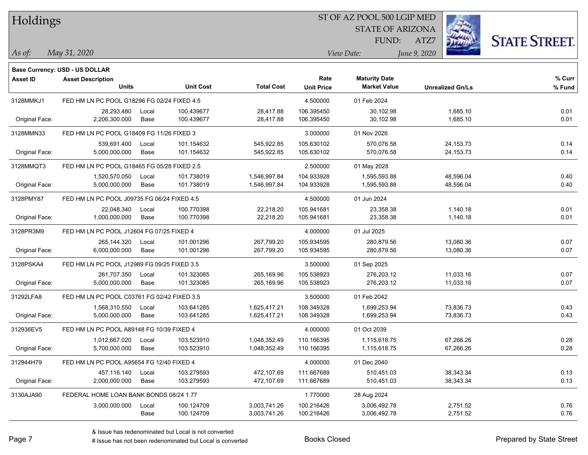| Holdings |
|----------|
|          |

#### ST OF AZ POOL 500 LGIP MED

STATE OF ARIZONA FUND:



*May 31, 2020 As of: View Date: June 9, 2020*

**Base Currency: USD - US DOLLAR**

ATZ7

| Asset ID       | <b>Asset Description</b>                    |       |                  |                   | Rate              | <b>Maturity Date</b> |                         | % Curr |
|----------------|---------------------------------------------|-------|------------------|-------------------|-------------------|----------------------|-------------------------|--------|
|                | <b>Units</b>                                |       | <b>Unit Cost</b> | <b>Total Cost</b> | <b>Unit Price</b> | <b>Market Value</b>  | <b>Unrealized Gn/Ls</b> | % Fund |
| 3128MMKJ1      | FED HM LN PC POOL G18296 FG 02/24 FIXED 4.5 |       |                  |                   | 4.500000          | 01 Feb 2024          |                         |        |
|                | 28,293.480                                  | Local | 100.439677       | 28,417.88         | 106.395450        | 30,102.98            | 1,685.10                | 0.01   |
| Original Face: | 2,206,300.000                               | Base  | 100.439677       | 28,417.88         | 106.395450        | 30,102.98            | 1,685.10                | 0.01   |
| 3128MMN33      | FED HM LN PC POOL G18409 FG 11/26 FIXED 3   |       |                  |                   | 3.000000          | 01 Nov 2026          |                         |        |
|                | 539,691.400                                 | Local | 101.154632       | 545,922.85        | 105.630102        | 570,076.58           | 24, 153. 73             | 0.14   |
| Original Face: | 5,000,000.000                               | Base  | 101.154632       | 545,922.85        | 105.630102        | 570,076.58           | 24, 153. 73             | 0.14   |
| 3128MMQT3      | FED HM LN PC POOL G18465 FG 05/28 FIXED 2.5 |       |                  |                   | 2.500000          | 01 May 2028          |                         |        |
|                | 1,520,570.050                               | Local | 101.738019       | 1,546,997.84      | 104.933928        | 1,595,593.88         | 48,596.04               | 0.40   |
| Original Face: | 5,000,000.000                               | Base  | 101.738019       | 1,546,997.84      | 104.933928        | 1,595,593.88         | 48,596.04               | 0.40   |
| 3128PMY87      | FED HM LN PC POOL J09735 FG 06/24 FIXED 4.5 |       |                  |                   | 4.500000          | 01 Jun 2024          |                         |        |
|                | 22,048.340                                  | Local | 100.770398       | 22,218.20         | 105.941681        | 23,358.38            | 1,140.18                | 0.01   |
| Original Face: | 1,000,000.000                               | Base  | 100.770398       | 22,218.20         | 105.941681        | 23,358.38            | 1,140.18                | 0.01   |
| 3128PR3M9      | FED HM LN PC POOL J12604 FG 07/25 FIXED 4   |       |                  |                   | 4.000000          | 01 Jul 2025          |                         |        |
|                | 265,144.320                                 | Local | 101.001296       | 267,799.20        | 105.934595        | 280,879.56           | 13,080.36               | 0.07   |
| Original Face: | 6,000,000.000                               | Base  | 101.001296       | 267,799.20        | 105.934595        | 280,879.56           | 13,080.36               | 0.07   |
| 3128PSKA4      | FED HM LN PC POOL J12989 FG 09/25 FIXED 3.5 |       |                  |                   | 3.500000          | 01 Sep 2025          |                         |        |
|                | 261,707.350                                 | Local | 101.323085       | 265,169.96        | 105.538923        | 276,203.12           | 11,033.16               | 0.07   |
| Original Face: | 5,000,000.000                               | Base  | 101.323085       | 265,169.96        | 105.538923        | 276,203.12           | 11,033.16               | 0.07   |
| 31292LFA8      | FED HM LN PC POOL C03761 FG 02/42 FIXED 3.5 |       |                  |                   | 3.500000          | 01 Feb 2042          |                         |        |
|                | 1,568,310.550                               | Local | 103.641285       | 1,625,417.21      | 108.349328        | 1,699,253.94         | 73,836.73               | 0.43   |
| Original Face: | 5,000,000.000                               | Base  | 103.641285       | 1,625,417.21      | 108.349328        | 1,699,253.94         | 73,836.73               | 0.43   |
| 312936EV5      | FED HM LN PC POOL A89148 FG 10/39 FIXED 4   |       |                  |                   | 4.000000          | 01 Oct 2039          |                         |        |
|                | 1,012,667.020                               | Local | 103.523910       | 1,048,352.49      | 110.166395        | 1,115,618.75         | 67,266.26               | 0.28   |
| Original Face: | 5,700,000.000                               | Base  | 103.523910       | 1,048,352.49      | 110.166395        | 1,115,618.75         | 67,266.26               | 0.28   |
| 312944H79      | FED HM LN PC POOL A95654 FG 12/40 FIXED 4   |       |                  |                   | 4.000000          | 01 Dec 2040          |                         |        |
|                | 457,116.140                                 | Local | 103.279593       | 472,107.69        | 111.667689        | 510,451.03           | 38,343.34               | 0.13   |
| Original Face: | 2,000,000.000                               | Base  | 103.279593       | 472,107.69        | 111.667689        | 510,451.03           | 38,343.34               | 0.13   |
| 3130AJA90      | FEDERAL HOME LOAN BANK BONDS 08/24 1.77     |       |                  |                   | 1.770000          | 28 Aug 2024          |                         |        |
|                | 3,000,000.000                               | Local | 100.124709       | 3,003,741.26      | 100.216426        | 3,006,492.78         | 2,751.52                | 0.76   |
|                |                                             | Base  | 100.124709       | 3,003,741.26      | 100.216426        | 3,006,492.78         | 2,751.52                | 0.76   |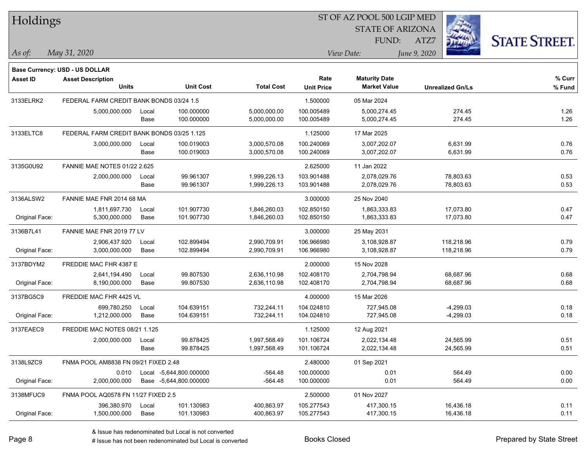| Holdings        |                                            |       |                         |                   | ST OF AZ POOL 500 LGIP MED |                                             |              |                         |                      |  |  |
|-----------------|--------------------------------------------|-------|-------------------------|-------------------|----------------------------|---------------------------------------------|--------------|-------------------------|----------------------|--|--|
|                 |                                            |       |                         |                   |                            | <b>STATE OF ARIZONA</b>                     |              |                         |                      |  |  |
|                 |                                            |       |                         |                   |                            | FUND:                                       | ATZ7         |                         | <b>STATE STREET.</b> |  |  |
| $\vert$ As of:  | May 31, 2020                               |       |                         |                   |                            | View Date:                                  | June 9, 2020 |                         |                      |  |  |
|                 |                                            |       |                         |                   |                            |                                             |              |                         |                      |  |  |
|                 | Base Currency: USD - US DOLLAR             |       |                         |                   |                            |                                             |              |                         |                      |  |  |
| <b>Asset ID</b> | <b>Asset Description</b><br><b>Units</b>   |       | <b>Unit Cost</b>        | <b>Total Cost</b> | Rate<br><b>Unit Price</b>  | <b>Maturity Date</b><br><b>Market Value</b> |              | <b>Unrealized Gn/Ls</b> | $%$ Curr<br>% Fund   |  |  |
| 3133ELRK2       | FEDERAL FARM CREDIT BANK BONDS 03/24 1.5   |       |                         |                   | 1.500000                   | 05 Mar 2024                                 |              |                         |                      |  |  |
|                 | 5,000,000.000                              | Local | 100.000000              | 5,000,000.00      | 100.005489                 | 5,000,274.45                                |              | 274.45                  | 1.26                 |  |  |
|                 |                                            | Base  | 100.000000              | 5,000,000.00      | 100.005489                 | 5,000,274.45                                |              | 274.45                  | 1.26                 |  |  |
| 3133ELTC8       | FEDERAL FARM CREDIT BANK BONDS 03/25 1.125 |       |                         |                   | 1.125000                   | 17 Mar 2025                                 |              |                         |                      |  |  |
|                 | 3,000,000.000                              | Local | 100.019003              | 3,000,570.08      | 100.240069                 | 3,007,202.07                                |              | 6,631.99                | 0.76                 |  |  |
|                 |                                            | Base  | 100.019003              | 3,000,570.08      | 100.240069                 | 3,007,202.07                                |              | 6,631.99                | 0.76                 |  |  |
| 3135G0U92       | <b>FANNIE MAE NOTES 01/22 2.625</b>        |       |                         |                   | 2.625000                   | 11 Jan 2022                                 |              |                         |                      |  |  |
|                 | 2,000,000.000                              | Local | 99.961307               | 1,999,226.13      | 103.901488                 | 2,078,029.76                                |              | 78,803.63               | 0.53                 |  |  |
|                 |                                            | Base  | 99.961307               | 1,999,226.13      | 103.901488                 | 2,078,029.76                                |              | 78,803.63               | 0.53                 |  |  |
| 3136ALSW2       | FANNIE MAE FNR 2014 68 MA                  |       |                         |                   | 3.000000                   | 25 Nov 2040                                 |              |                         |                      |  |  |
|                 | 1,811,697.730                              | Local | 101.907730              | 1,846,260.03      | 102.850150                 | 1,863,333.83                                |              | 17,073.80               | 0.47                 |  |  |
| Original Face:  | 5,300,000.000                              | Base  | 101.907730              | 1,846,260.03      | 102.850150                 | 1,863,333.83                                |              | 17,073.80               | 0.47                 |  |  |
| 3136B7L41       | FANNIE MAE FNR 2019 77 LV                  |       |                         |                   | 3.000000                   | 25 May 2031                                 |              |                         |                      |  |  |
|                 | 2,906,437.920                              | Local | 102.899494              | 2,990,709.91      | 106.966980                 | 3,108,928.87                                |              | 118,218.96              | 0.79                 |  |  |
| Original Face:  | 3,000,000.000                              | Base  | 102.899494              | 2,990,709.91      | 106.966980                 | 3,108,928.87                                |              | 118,218.96              | 0.79                 |  |  |
| 3137BDYM2       | FREDDIE MAC FHR 4387 E                     |       |                         |                   | 2.000000                   | 15 Nov 2028                                 |              |                         |                      |  |  |
|                 | 2,641,194.490                              | Local | 99.807530               | 2,636,110.98      | 102.408170                 | 2,704,798.94                                |              | 68,687.96               | 0.68                 |  |  |
| Original Face:  | 8,190,000.000                              | Base  | 99.807530               | 2,636,110.98      | 102.408170                 | 2,704,798.94                                |              | 68,687.96               | 0.68                 |  |  |
| 3137BG5C9       | FREDDIE MAC FHR 4425 VL                    |       |                         |                   | 4.000000                   | 15 Mar 2026                                 |              |                         |                      |  |  |
|                 | 699,780.250                                | Local | 104.639151              | 732,244.11        | 104.024810                 | 727,945.08                                  |              | $-4,299.03$             | 0.18                 |  |  |
| Original Face:  | 1,212,000.000                              | Base  | 104.639151              | 732,244.11        | 104.024810                 | 727,945.08                                  |              | $-4,299.03$             | 0.18                 |  |  |
| 3137EAEC9       | FREDDIE MAC NOTES 08/21 1.125              |       |                         |                   | 1.125000                   | 12 Aug 2021                                 |              |                         |                      |  |  |
|                 | 2,000,000.000                              | Local | 99.878425               | 1,997,568.49      | 101.106724                 | 2,022,134.48                                |              | 24,565.99               | 0.51                 |  |  |
|                 |                                            | Base  | 99.878425               | 1,997,568.49      | 101.106724                 | 2,022,134.48                                |              | 24,565.99               | 0.51                 |  |  |
| 3138L9ZC9       | FNMA POOL AM8838 FN 09/21 FIXED 2.48       |       |                         |                   | 2.480000                   | 01 Sep 2021                                 |              |                         |                      |  |  |
|                 | 0.010                                      |       | Local -5,644,800.000000 | $-564.48$         | 100.000000                 | 0.01                                        |              | 564.49                  | 0.00                 |  |  |
| Original Face:  | 2,000,000.000                              |       | Base -5,644,800.000000  | $-564.48$         | 100.000000                 | 0.01                                        |              | 564.49                  | 0.00                 |  |  |
| 3138MFUC9       | FNMA POOL AQ0578 FN 11/27 FIXED 2.5        |       |                         |                   | 2.500000                   | 01 Nov 2027                                 |              |                         |                      |  |  |
|                 | 396,380.970                                | Local | 101.130983              | 400,863.97        | 105.277543                 | 417,300.15                                  |              | 16,436.18               | 0.11                 |  |  |
| Original Face:  | 1,500,000.000                              | Base  | 101.130983              | 400,863.97        | 105.277543                 | 417,300.15                                  |              | 16,436.18               | 0.11                 |  |  |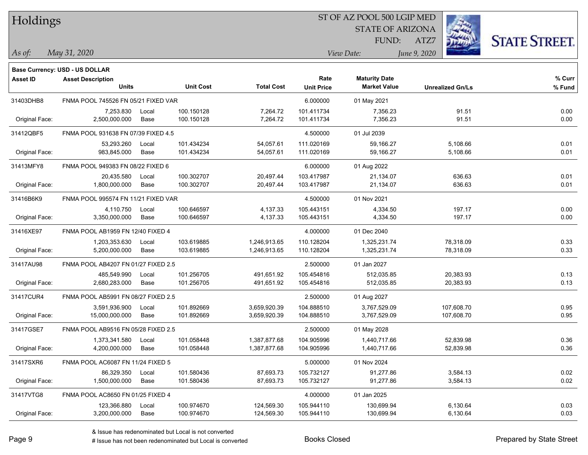| Holdings |
|----------|
|          |

#### ST OF AZ POOL 500 LGIP MED

STATE OF ARIZONA FUND:

ATZ7



| As of: | May 31, 2020 | <i>View Date:</i> | June 9, 2020 |
|--------|--------------|-------------------|--------------|
|--------|--------------|-------------------|--------------|

| w Date: | Jun |
|---------|-----|

|                 | <b>Base Currency: USD - US DOLLAR</b> |       |                  |                   |                   |                      |                         |        |
|-----------------|---------------------------------------|-------|------------------|-------------------|-------------------|----------------------|-------------------------|--------|
| <b>Asset ID</b> | <b>Asset Description</b>              |       |                  |                   | Rate              | <b>Maturity Date</b> |                         | % Curr |
|                 | <b>Units</b>                          |       | <b>Unit Cost</b> | <b>Total Cost</b> | <b>Unit Price</b> | <b>Market Value</b>  | <b>Unrealized Gn/Ls</b> | % Fund |
| 31403DHB8       | FNMA POOL 745526 FN 05/21 FIXED VAR   |       |                  |                   | 6.000000          | 01 May 2021          |                         |        |
|                 | 7.253.830                             | Local | 100.150128       | 7,264.72          | 101.411734        | 7,356.23             | 91.51                   | 0.00   |
| Original Face:  | 2,500,000.000                         | Base  | 100.150128       | 7,264.72          | 101.411734        | 7,356.23             | 91.51                   | 0.00   |
| 31412QBF5       | FNMA POOL 931638 FN 07/39 FIXED 4.5   |       |                  |                   | 4.500000          | 01 Jul 2039          |                         |        |
|                 | 53,293.260                            | Local | 101.434234       | 54,057.61         | 111.020169        | 59,166.27            | 5,108.66                | 0.01   |
| Original Face:  | 983,845.000                           | Base  | 101.434234       | 54,057.61         | 111.020169        | 59,166.27            | 5,108.66                | 0.01   |
| 31413MFY8       | FNMA POOL 949383 FN 08/22 FIXED 6     |       |                  |                   | 6.000000          | 01 Aug 2022          |                         |        |
|                 | 20,435.580                            | Local | 100.302707       | 20,497.44         | 103.417987        | 21,134.07            | 636.63                  | 0.01   |
| Original Face:  | 1,800,000.000                         | Base  | 100.302707       | 20,497.44         | 103.417987        | 21,134.07            | 636.63                  | 0.01   |
| 31416B6K9       | FNMA POOL 995574 FN 11/21 FIXED VAR   |       |                  |                   | 4.500000          | 01 Nov 2021          |                         |        |
|                 | 4,110.750                             | Local | 100.646597       | 4,137.33          | 105.443151        | 4,334.50             | 197.17                  | 0.00   |
| Original Face:  | 3,350,000.000                         | Base  | 100.646597       | 4,137.33          | 105.443151        | 4,334.50             | 197.17                  | 0.00   |
| 31416XE97       | FNMA POOL AB1959 FN 12/40 FIXED 4     |       |                  |                   | 4.000000          | 01 Dec 2040          |                         |        |
|                 | 1,203,353.630                         | Local | 103.619885       | 1,246,913.65      | 110.128204        | 1,325,231.74         | 78,318.09               | 0.33   |
| Original Face:  | 5,200,000.000                         | Base  | 103.619885       | 1,246,913.65      | 110.128204        | 1,325,231.74         | 78,318.09               | 0.33   |
| 31417AU98       | FNMA POOL AB4207 FN 01/27 FIXED 2.5   |       |                  |                   | 2.500000          | 01 Jan 2027          |                         |        |
|                 | 485,549.990                           | Local | 101.256705       | 491,651.92        | 105.454816        | 512,035.85           | 20,383.93               | 0.13   |
| Original Face:  | 2,680,283.000                         | Base  | 101.256705       | 491,651.92        | 105.454816        | 512,035.85           | 20,383.93               | 0.13   |
| 31417CUR4       | FNMA POOL AB5991 FN 08/27 FIXED 2.5   |       |                  |                   | 2.500000          | 01 Aug 2027          |                         |        |
|                 | 3,591,936.900                         | Local | 101.892669       | 3,659,920.39      | 104.888510        | 3,767,529.09         | 107,608.70              | 0.95   |
| Original Face:  | 15,000,000.000                        | Base  | 101.892669       | 3,659,920.39      | 104.888510        | 3,767,529.09         | 107,608.70              | 0.95   |
| 31417GSE7       | FNMA POOL AB9516 FN 05/28 FIXED 2.5   |       |                  |                   | 2.500000          | 01 May 2028          |                         |        |
|                 | 1,373,341.580                         | Local | 101.058448       | 1,387,877.68      | 104.905996        | 1,440,717.66         | 52,839.98               | 0.36   |
| Original Face:  | 4,200,000.000                         | Base  | 101.058448       | 1,387,877.68      | 104.905996        | 1,440,717.66         | 52,839.98               | 0.36   |
| 31417SXR6       | FNMA POOL AC6087 FN 11/24 FIXED 5     |       |                  |                   | 5.000000          | 01 Nov 2024          |                         |        |
|                 | 86,329.350                            | Local | 101.580436       | 87,693.73         | 105.732127        | 91,277.86            | 3,584.13                | 0.02   |
| Original Face:  | 1,500,000.000                         | Base  | 101.580436       | 87,693.73         | 105.732127        | 91,277.86            | 3,584.13                | 0.02   |
| 31417VTG8       | FNMA POOL AC8650 FN 01/25 FIXED 4     |       |                  |                   | 4.000000          | 01 Jan 2025          |                         |        |
|                 | 123,366.880                           | Local | 100.974670       | 124,569.30        | 105.944110        | 130,699.94           | 6,130.64                | 0.03   |
| Original Face:  | 3,200,000.000                         | Base  | 100.974670       | 124,569.30        | 105.944110        | 130,699.94           | 6,130.64                | 0.03   |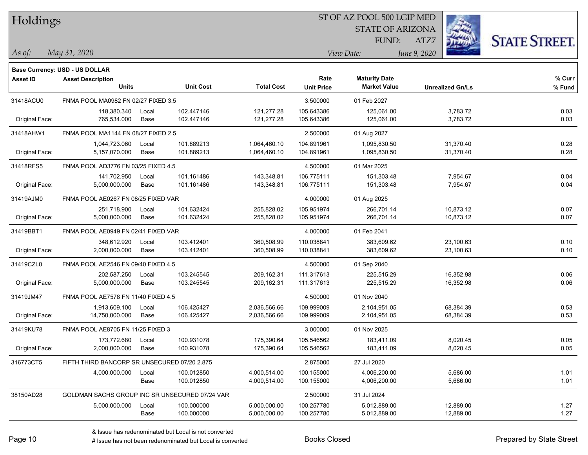| Holdings |  |
|----------|--|
|----------|--|

#### ST OF AZ POOL 500 LGIP MED

STATE OF ARIZONA FUND:



*May 31, 2020 As of: View Date: June 9, 2020*

ATZ7

|                | Base Currency: USD - US DOLLAR                 |       |                  |                   |                   |                      |                         |        |
|----------------|------------------------------------------------|-------|------------------|-------------------|-------------------|----------------------|-------------------------|--------|
| Asset ID       | <b>Asset Description</b>                       |       |                  |                   | Rate              | <b>Maturity Date</b> |                         | % Curr |
|                | <b>Units</b>                                   |       | <b>Unit Cost</b> | <b>Total Cost</b> | <b>Unit Price</b> | <b>Market Value</b>  | <b>Unrealized Gn/Ls</b> | % Fund |
| 31418ACU0      | FNMA POOL MA0982 FN 02/27 FIXED 3.5            |       |                  |                   | 3.500000          | 01 Feb 2027          |                         |        |
|                | 118,380.340                                    | Local | 102.447146       | 121,277.28        | 105.643386        | 125,061.00           | 3,783.72                | 0.03   |
| Original Face: | 765,534.000                                    | Base  | 102.447146       | 121,277.28        | 105.643386        | 125,061.00           | 3,783.72                | 0.03   |
| 31418AHW1      | FNMA POOL MA1144 FN 08/27 FIXED 2.5            |       |                  |                   | 2.500000          | 01 Aug 2027          |                         |        |
|                | 1,044,723.060                                  | Local | 101.889213       | 1,064,460.10      | 104.891961        | 1,095,830.50         | 31,370.40               | 0.28   |
| Original Face: | 5,157,070.000                                  | Base  | 101.889213       | 1,064,460.10      | 104.891961        | 1,095,830.50         | 31,370.40               | 0.28   |
| 31418RFS5      | FNMA POOL AD3776 FN 03/25 FIXED 4.5            |       |                  |                   | 4.500000          | 01 Mar 2025          |                         |        |
|                | 141,702.950                                    | Local | 101.161486       | 143,348.81        | 106.775111        | 151,303.48           | 7,954.67                | 0.04   |
| Original Face: | 5,000,000.000                                  | Base  | 101.161486       | 143,348.81        | 106.775111        | 151,303.48           | 7,954.67                | 0.04   |
| 31419AJM0      | FNMA POOL AE0267 FN 08/25 FIXED VAR            |       |                  |                   | 4.000000          | 01 Aug 2025          |                         |        |
|                | 251,718.900                                    | Local | 101.632424       | 255,828.02        | 105.951974        | 266,701.14           | 10,873.12               | 0.07   |
| Original Face: | 5,000,000.000                                  | Base  | 101.632424       | 255,828.02        | 105.951974        | 266,701.14           | 10,873.12               | 0.07   |
| 31419BBT1      | FNMA POOL AE0949 FN 02/41 FIXED VAR            |       |                  |                   | 4.000000          | 01 Feb 2041          |                         |        |
|                | 348,612.920                                    | Local | 103.412401       | 360,508.99        | 110.038841        | 383,609.62           | 23,100.63               | 0.10   |
| Original Face: | 2,000,000.000                                  | Base  | 103.412401       | 360,508.99        | 110.038841        | 383,609.62           | 23,100.63               | 0.10   |
| 31419CZL0      | FNMA POOL AE2546 FN 09/40 FIXED 4.5            |       |                  |                   | 4.500000          | 01 Sep 2040          |                         |        |
|                | 202,587.250                                    | Local | 103.245545       | 209,162.31        | 111.317613        | 225,515.29           | 16,352.98               | 0.06   |
| Original Face: | 5,000,000.000                                  | Base  | 103.245545       | 209,162.31        | 111.317613        | 225,515.29           | 16,352.98               | 0.06   |
| 31419JM47      | FNMA POOL AE7578 FN 11/40 FIXED 4.5            |       |                  |                   | 4.500000          | 01 Nov 2040          |                         |        |
|                | 1,913,609.100                                  | Local | 106.425427       | 2,036,566.66      | 109.999009        | 2,104,951.05         | 68,384.39               | 0.53   |
| Original Face: | 14,750,000.000                                 | Base  | 106.425427       | 2,036,566.66      | 109.999009        | 2,104,951.05         | 68,384.39               | 0.53   |
| 31419KU78      | FNMA POOL AE8705 FN 11/25 FIXED 3              |       |                  |                   | 3.000000          | 01 Nov 2025          |                         |        |
|                | 173,772.680                                    | Local | 100.931078       | 175,390.64        | 105.546562        | 183,411.09           | 8,020.45                | 0.05   |
| Original Face: | 2,000,000.000                                  | Base  | 100.931078       | 175,390.64        | 105.546562        | 183,411.09           | 8,020.45                | 0.05   |
| 316773CT5      | FIFTH THIRD BANCORP SR UNSECURED 07/20 2.875   |       |                  |                   | 2.875000          | 27 Jul 2020          |                         |        |
|                | 4,000,000.000                                  | Local | 100.012850       | 4,000,514.00      | 100.155000        | 4,006,200.00         | 5,686.00                | 1.01   |
|                |                                                | Base  | 100.012850       | 4,000,514.00      | 100.155000        | 4,006,200.00         | 5,686.00                | 1.01   |
| 38150AD28      | GOLDMAN SACHS GROUP INC SR UNSECURED 07/24 VAR |       |                  |                   | 2.500000          | 31 Jul 2024          |                         |        |
|                | 5,000,000.000                                  | Local | 100.000000       | 5,000,000.00      | 100.257780        | 5,012,889.00         | 12,889.00               | 1.27   |
|                |                                                | Base  | 100.000000       | 5,000,000.00      | 100.257780        | 5,012,889.00         | 12,889.00               | 1.27   |

 $\overline{\phantom{0}}$ 

A ISSUE ISSUE ISSUE ISSUE ISSUE ISSUE ISSUE ISSUE ISSUE ISSUE ISSUE ISSUE ISSUE ISSUE ISSUE ISSUE ISSUE ISSUE I<br>
# Issue has not been redenominated but Local is converted **BOOKS** Closed **Prepared by State Street**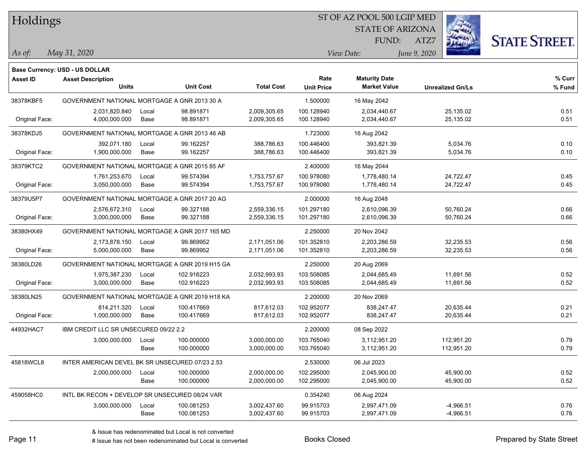Holdings

#### ST OF AZ POOL 500 LGIP MED

STATE OF ARIZONA



*May 31, 2020 As of: View Date: June 9, 2020*

**Base Currency: USD - US DOLLAR**

ATZ7 FUND:

| Asset ID       | <b>Asset Description</b><br><b>Units</b>        |               | <b>Unit Cost</b>         | <b>Total Cost</b>            | Rate<br><b>Unit Price</b> | <b>Maturity Date</b><br><b>Market Value</b> | <b>Unrealized Gn/Ls</b>    | % Curr<br>% Fund |
|----------------|-------------------------------------------------|---------------|--------------------------|------------------------------|---------------------------|---------------------------------------------|----------------------------|------------------|
| 38378KBF5      | GOVERNMENT NATIONAL MORTGAGE A GNR 2013 30 A    |               |                          |                              | 1.500000                  | 16 May 2042                                 |                            |                  |
| Original Face: | 2,031,820.840<br>4,000,000.000                  | Local<br>Base | 98.891871<br>98.891871   | 2,009,305.65<br>2,009,305.65 | 100.128940<br>100.128940  | 2,034,440.67<br>2,034,440.67                | 25,135.02<br>25,135.02     | 0.51<br>0.51     |
| 38378KDJ5      | GOVERNMENT NATIONAL MORTGAGE A GNR 2013 46 AB   |               |                          |                              | 1.723000                  | 16 Aug 2042                                 |                            |                  |
| Original Face: | 392,071.180<br>1,900,000.000                    | Local<br>Base | 99.162257<br>99.162257   | 388,786.63<br>388,786.63     | 100.446400<br>100.446400  | 393,821.39<br>393,821.39                    | 5,034.76<br>5,034.76       | 0.10<br>0.10     |
| 38379KTC2      | GOVERNMENT NATIONAL MORTGAGE A GNR 2015 85 AF   |               |                          |                              | 2.400000                  | 16 May 2044                                 |                            |                  |
| Original Face: | 1,761,253.670<br>3,050,000.000                  | Local<br>Base | 99.574394<br>99.574394   | 1,753,757.67<br>1,753,757.67 | 100.978080<br>100.978080  | 1,778,480.14<br>1,778,480.14                | 24,722.47<br>24,722.47     | 0.45<br>0.45     |
| 38379U5P7      | GOVERNMENT NATIONAL MORTGAGE A GNR 2017 20 AG   |               |                          |                              | 2.000000                  | 16 Aug 2048                                 |                            |                  |
| Original Face: | 2,576,672.310<br>3,000,000.000                  | Local<br>Base | 99.327188<br>99.327188   | 2,559,336.15<br>2,559,336.15 | 101.297180<br>101.297180  | 2,610,096.39<br>2,610,096.39                | 50,760.24<br>50,760.24     | 0.66<br>0.66     |
| 38380HX49      | GOVERNMENT NATIONAL MORTGAGE A GNR 2017 165 MD  |               |                          |                              | 2.250000                  | 20 Nov 2042                                 |                            |                  |
| Original Face: | 2,173,878.150<br>5,000,000.000                  | Local<br>Base | 99.869952<br>99.869952   | 2,171,051.06<br>2,171,051.06 | 101.352810<br>101.352810  | 2,203,286.59<br>2,203,286.59                | 32,235.53<br>32,235.53     | 0.56<br>0.56     |
| 38380LD26      | GOVERNMENT NATIONAL MORTGAGE A GNR 2019 H15 GA  |               |                          |                              | 2.250000                  | 20 Aug 2069                                 |                            |                  |
| Original Face: | 1,975,387.230<br>3,000,000.000                  | Local<br>Base | 102.916223<br>102.916223 | 2,032,993.93<br>2,032,993.93 | 103.508085<br>103.508085  | 2,044,685.49<br>2,044,685.49                | 11,691.56<br>11,691.56     | 0.52<br>0.52     |
| 38380LN25      | GOVERNMENT NATIONAL MORTGAGE A GNR 2019 H18 KA  |               |                          |                              | 2.200000                  | 20 Nov 2069                                 |                            |                  |
| Original Face: | 814,211.320<br>1,000,000.000                    | Local<br>Base | 100.417669<br>100.417669 | 817,612.03<br>817,612.03     | 102.952077<br>102.952077  | 838,247.47<br>838,247.47                    | 20,635.44<br>20,635.44     | 0.21<br>0.21     |
| 44932HAC7      | IBM CREDIT LLC SR UNSECURED 09/22 2.2           |               |                          |                              | 2.200000                  | 08 Sep 2022                                 |                            |                  |
|                | 3,000,000.000                                   | Local<br>Base | 100.000000<br>100.000000 | 3,000,000.00<br>3,000,000.00 | 103.765040<br>103.765040  | 3,112,951.20<br>3,112,951.20                | 112,951.20<br>112,951.20   | 0.79<br>0.79     |
| 45818WCL8      | INTER AMERICAN DEVEL BK SR UNSECURED 07/23 2.53 |               |                          |                              | 2.530000                  | 06 Jul 2023                                 |                            |                  |
|                | 2,000,000.000                                   | Local<br>Base | 100.000000<br>100.000000 | 2,000,000.00<br>2,000,000.00 | 102.295000<br>102.295000  | 2,045,900.00<br>2,045,900.00                | 45,900.00<br>45,900.00     | 0.52<br>0.52     |
| 459058HC0      | INTL BK RECON + DEVELOP SR UNSECURED 08/24 VAR  |               |                          |                              | 0.354240                  | 06 Aug 2024                                 |                            |                  |
|                | 3,000,000.000                                   | Local<br>Base | 100.081253<br>100.081253 | 3,002,437.60<br>3,002,437.60 | 99.915703<br>99.915703    | 2,997,471.09<br>2,997,471.09                | $-4,966.51$<br>$-4,966.51$ | 0.76<br>0.76     |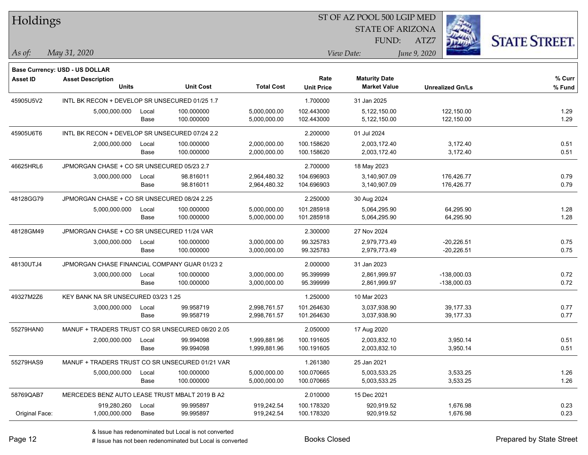| Holdings        |                                                  |       |                  |                   |                   | ST OF AZ POOL 500 LGIP MED |                         |                      |
|-----------------|--------------------------------------------------|-------|------------------|-------------------|-------------------|----------------------------|-------------------------|----------------------|
|                 |                                                  |       |                  |                   |                   | <b>STATE OF ARIZONA</b>    |                         |                      |
|                 |                                                  |       |                  |                   |                   | FUND:                      | ATZ7                    | <b>STATE STREET.</b> |
| As of:          | May 31, 2020                                     |       |                  |                   |                   | View Date:                 | June 9, 2020            |                      |
|                 | Base Currency: USD - US DOLLAR                   |       |                  |                   |                   |                            |                         |                      |
| <b>Asset ID</b> | <b>Asset Description</b>                         |       |                  |                   | Rate              | <b>Maturity Date</b>       |                         | % Curr               |
|                 | <b>Units</b>                                     |       | <b>Unit Cost</b> | <b>Total Cost</b> | <b>Unit Price</b> | <b>Market Value</b>        | <b>Unrealized Gn/Ls</b> | % Fund               |
| 45905U5V2       | INTL BK RECON + DEVELOP SR UNSECURED 01/25 1.7   |       |                  |                   | 1.700000          | 31 Jan 2025                |                         |                      |
|                 | 5,000,000.000                                    | Local | 100.000000       | 5,000,000.00      | 102.443000        | 5,122,150.00               | 122,150.00              | 1.29                 |
|                 |                                                  | Base  | 100.000000       | 5,000,000.00      | 102.443000        | 5,122,150.00               | 122,150.00              | 1.29                 |
| 45905U6T6       | INTL BK RECON + DEVELOP SR UNSECURED 07/24 2.2   |       |                  |                   | 2.200000          | 01 Jul 2024                |                         |                      |
|                 | 2,000,000.000                                    | Local | 100.000000       | 2,000,000.00      | 100.158620        | 2,003,172.40               | 3,172.40                | 0.51                 |
|                 |                                                  | Base  | 100.000000       | 2,000,000.00      | 100.158620        | 2,003,172.40               | 3,172.40                | 0.51                 |
| 46625HRL6       | JPMORGAN CHASE + CO SR UNSECURED 05/23 2.7       |       |                  |                   | 2.700000          | 18 May 2023                |                         |                      |
|                 | 3,000,000.000                                    | Local | 98.816011        | 2,964,480.32      | 104.696903        | 3,140,907.09               | 176,426.77              | 0.79                 |
|                 |                                                  | Base  | 98.816011        | 2,964,480.32      | 104.696903        | 3,140,907.09               | 176,426.77              | 0.79                 |
| 48128GG79       | JPMORGAN CHASE + CO SR UNSECURED 08/24 2.25      |       |                  |                   | 2.250000          | 30 Aug 2024                |                         |                      |
|                 | 5,000,000.000                                    | Local | 100.000000       | 5,000,000.00      | 101.285918        | 5,064,295.90               | 64,295.90               | 1.28                 |
|                 |                                                  | Base  | 100.000000       | 5,000,000.00      | 101.285918        | 5,064,295.90               | 64,295.90               | 1.28                 |
| 48128GM49       | JPMORGAN CHASE + CO SR UNSECURED 11/24 VAR       |       |                  |                   | 2.300000          | 27 Nov 2024                |                         |                      |
|                 | 3,000,000.000                                    | Local | 100.000000       | 3,000,000.00      | 99.325783         | 2,979,773.49               | $-20,226.51$            | 0.75                 |
|                 |                                                  | Base  | 100.000000       | 3,000,000.00      | 99.325783         | 2,979,773.49               | $-20,226.51$            | 0.75                 |
| 48130UTJ4       | JPMORGAN CHASE FINANCIAL COMPANY GUAR 01/23 2    |       |                  |                   | 2.000000          | 31 Jan 2023                |                         |                      |
|                 | 3,000,000.000                                    | Local | 100.000000       | 3,000,000.00      | 95.399999         | 2,861,999.97               | $-138,000.03$           | 0.72                 |
|                 |                                                  | Base  | 100.000000       | 3,000,000.00      | 95.399999         | 2,861,999.97               | $-138,000.03$           | 0.72                 |
| 49327M2Z6       | KEY BANK NA SR UNSECURED 03/23 1.25              |       |                  |                   | 1.250000          | 10 Mar 2023                |                         |                      |
|                 | 3,000,000.000                                    | Local | 99.958719        | 2,998,761.57      | 101.264630        | 3,037,938.90               | 39,177.33               | 0.77                 |
|                 |                                                  | Base  | 99.958719        | 2,998,761.57      | 101.264630        | 3,037,938.90               | 39,177.33               | 0.77                 |
| 55279HAN0       | MANUF + TRADERS TRUST CO SR UNSECURED 08/20 2.05 |       |                  |                   | 2.050000          | 17 Aug 2020                |                         |                      |
|                 | 2,000,000.000                                    | Local | 99.994098        | 1,999,881.96      | 100.191605        | 2,003,832.10               | 3,950.14                | 0.51                 |
|                 |                                                  | Base  | 99.994098        | 1,999,881.96      | 100.191605        | 2,003,832.10               | 3,950.14                | 0.51                 |
| 55279HAS9       | MANUF + TRADERS TRUST CO SR UNSECURED 01/21 VAR  |       |                  |                   | 1.261380          | 25 Jan 2021                |                         |                      |
|                 | 5,000,000.000                                    | Local | 100.000000       | 5,000,000.00      | 100.070665        | 5,003,533.25               | 3,533.25                | 1.26                 |
|                 |                                                  | Base  | 100.000000       | 5,000,000.00      | 100.070665        | 5,003,533.25               | 3,533.25                | 1.26                 |
| 58769QAB7       | MERCEDES BENZ AUTO LEASE TRUST MBALT 2019 B A2   |       |                  |                   | 2.010000          | 15 Dec 2021                |                         |                      |
|                 | 919,280.260                                      | Local | 99.995897        | 919,242.54        | 100.178320        | 920,919.52                 | 1,676.98                | 0.23                 |
| Original Face:  | 1,000,000.000                                    | Base  | 99.995897        | 919,242.54        | 100.178320        | 920,919.52                 | 1,676.98                | 0.23                 |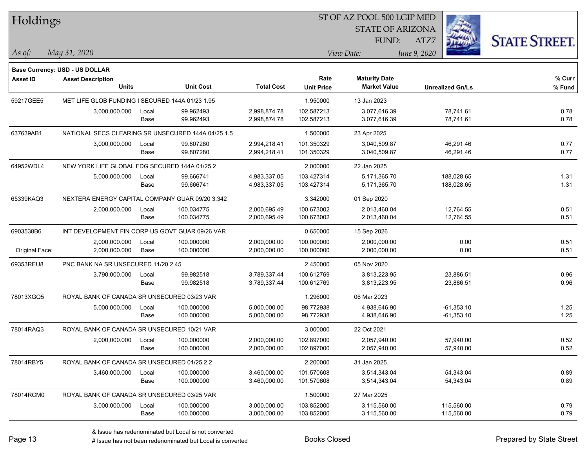| Holdings        |                                                            |       |                  |                   |                   | ST OF AZ POOL 500 LGIP MED |                         |      |                      |
|-----------------|------------------------------------------------------------|-------|------------------|-------------------|-------------------|----------------------------|-------------------------|------|----------------------|
|                 |                                                            |       |                  |                   |                   | <b>STATE OF ARIZONA</b>    |                         |      |                      |
|                 |                                                            |       |                  |                   |                   | FUND:                      | ATZ7                    |      | <b>STATE STREET.</b> |
| As of:          | May 31, 2020                                               |       |                  |                   |                   | View Date:                 | June 9, 2020            |      |                      |
|                 |                                                            |       |                  |                   |                   |                            |                         |      |                      |
| <b>Asset ID</b> | Base Currency: USD - US DOLLAR<br><b>Asset Description</b> |       |                  |                   | Rate              | <b>Maturity Date</b>       |                         |      | % Curr               |
|                 | <b>Units</b>                                               |       | <b>Unit Cost</b> | <b>Total Cost</b> | <b>Unit Price</b> | <b>Market Value</b>        | <b>Unrealized Gn/Ls</b> |      | % Fund               |
| 59217GEE5       | MET LIFE GLOB FUNDING I SECURED 144A 01/23 1.95            |       |                  |                   | 1.950000          | 13 Jan 2023                |                         |      |                      |
|                 | 3,000,000.000                                              | Local | 99.962493        | 2,998,874.78      | 102.587213        | 3,077,616.39               | 78,741.61               |      | 0.78                 |
|                 |                                                            | Base  | 99.962493        | 2,998,874.78      | 102.587213        | 3,077,616.39               | 78,741.61               |      | 0.78                 |
| 637639AB1       | NATIONAL SECS CLEARING SR UNSECURED 144A 04/25 1.5         |       |                  |                   | 1.500000          | 23 Apr 2025                |                         |      |                      |
|                 | 3,000,000.000                                              | Local | 99.807280        | 2,994,218.41      | 101.350329        | 3,040,509.87               | 46,291.46               |      | 0.77                 |
|                 |                                                            | Base  | 99.807280        | 2,994,218.41      | 101.350329        | 3,040,509.87               | 46,291.46               |      | 0.77                 |
| 64952WDL4       | NEW YORK LIFE GLOBAL FDG SECURED 144A 01/25 2              |       |                  |                   | 2.000000          | 22 Jan 2025                |                         |      |                      |
|                 | 5,000,000.000                                              | Local | 99.666741        | 4,983,337.05      | 103.427314        | 5,171,365.70               | 188,028.65              |      | 1.31                 |
|                 |                                                            | Base  | 99.666741        | 4,983,337.05      | 103.427314        | 5,171,365.70               | 188,028.65              |      | 1.31                 |
| 65339KAQ3       | NEXTERA ENERGY CAPITAL COMPANY GUAR 09/20 3.342            |       |                  |                   | 3.342000          | 01 Sep 2020                |                         |      |                      |
|                 | 2,000,000.000                                              | Local | 100.034775       | 2,000,695.49      | 100.673002        | 2,013,460.04               | 12,764.55               |      | 0.51                 |
|                 |                                                            | Base  | 100.034775       | 2,000,695.49      | 100.673002        | 2,013,460.04               | 12,764.55               |      | 0.51                 |
| 6903538B6       | INT DEVELOPMENT FIN CORP US GOVT GUAR 09/26 VAR            |       |                  |                   | 0.650000          | 15 Sep 2026                |                         |      |                      |
|                 | 2,000,000.000                                              | Local | 100.000000       | 2,000,000.00      | 100.000000        | 2,000,000.00               |                         | 0.00 | 0.51                 |
| Original Face:  | 2,000,000.000                                              | Base  | 100.000000       | 2,000,000.00      | 100.000000        | 2,000,000.00               |                         | 0.00 | 0.51                 |
| 69353REU8       | PNC BANK NA SR UNSECURED 11/20 2.45                        |       |                  |                   | 2.450000          | 05 Nov 2020                |                         |      |                      |
|                 | 3,790,000.000                                              | Local | 99.982518        | 3,789,337.44      | 100.612769        | 3,813,223.95               | 23,886.51               |      | 0.96                 |
|                 |                                                            | Base  | 99.982518        | 3,789,337.44      | 100.612769        | 3,813,223.95               | 23,886.51               |      | 0.96                 |
| 78013XGQ5       | ROYAL BANK OF CANADA SR UNSECURED 03/23 VAR                |       |                  |                   | 1.296000          | 06 Mar 2023                |                         |      |                      |
|                 | 5,000,000.000                                              | Local | 100.000000       | 5,000,000.00      | 98.772938         | 4,938,646.90               | $-61,353.10$            |      | 1.25                 |
|                 |                                                            | Base  | 100.000000       | 5,000,000.00      | 98.772938         | 4,938,646.90               | $-61,353.10$            |      | 1.25                 |
| 78014RAQ3       | ROYAL BANK OF CANADA SR UNSECURED 10/21 VAR                |       |                  |                   | 3.000000          | 22 Oct 2021                |                         |      |                      |
|                 | 2,000,000.000 Local                                        |       | 100.000000       | 2,000,000.00      | 102.897000        | 2,057,940.00               | 57,940.00               |      | 0.52                 |
|                 |                                                            | Base  | 100.000000       | 2,000,000.00      | 102.897000        | 2,057,940.00               | 57,940.00               |      | 0.52                 |
| 78014RBY5       | ROYAL BANK OF CANADA SR UNSECURED 01/25 2.2                |       |                  |                   | 2.200000          | 31 Jan 2025                |                         |      |                      |
|                 | 3,460,000.000                                              | Local | 100.000000       | 3,460,000.00      | 101.570608        | 3,514,343.04               | 54,343.04               |      | 0.89                 |
|                 |                                                            | Base  | 100.000000       | 3,460,000.00      | 101.570608        | 3,514,343.04               | 54,343.04               |      | 0.89                 |
| 78014RCM0       | ROYAL BANK OF CANADA SR UNSECURED 03/25 VAR                |       |                  |                   | 1.500000          | 27 Mar 2025                |                         |      |                      |
|                 | 3,000,000.000                                              | Local | 100.000000       | 3,000,000.00      | 103.852000        | 3,115,560.00               | 115,560.00              |      | 0.79                 |
|                 |                                                            | Base  | 100.000000       | 3,000,000.00      | 103.852000        | 3,115,560.00               | 115,560.00              |      | 0.79                 |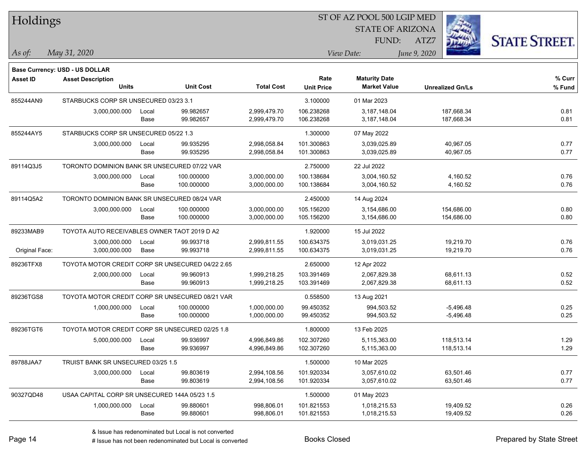| Holdings        |                                                  |       |                  |                   |                           | ST OF AZ POOL 500 LGIP MED                  |                         |                      |
|-----------------|--------------------------------------------------|-------|------------------|-------------------|---------------------------|---------------------------------------------|-------------------------|----------------------|
|                 |                                                  |       |                  |                   |                           | <b>STATE OF ARIZONA</b>                     |                         |                      |
|                 |                                                  |       |                  |                   |                           | FUND:                                       | ATZ7                    | <b>STATE STREET.</b> |
| $\vert$ As of:  | May 31, 2020                                     |       |                  |                   |                           | View Date:                                  | June 9, 2020            |                      |
|                 |                                                  |       |                  |                   |                           |                                             |                         |                      |
|                 | Base Currency: USD - US DOLLAR                   |       |                  |                   |                           |                                             |                         |                      |
| <b>Asset ID</b> | <b>Asset Description</b><br><b>Units</b>         |       | <b>Unit Cost</b> | <b>Total Cost</b> | Rate<br><b>Unit Price</b> | <b>Maturity Date</b><br><b>Market Value</b> | <b>Unrealized Gn/Ls</b> | % Curr<br>$%$ Fund   |
| 855244AN9       | STARBUCKS CORP SR UNSECURED 03/23 3.1            |       |                  |                   | 3.100000                  | 01 Mar 2023                                 |                         |                      |
|                 | 3,000,000.000                                    | Local | 99.982657        | 2,999,479.70      | 106.238268                | 3,187,148.04                                | 187,668.34              | 0.81                 |
|                 |                                                  | Base  | 99.982657        | 2,999,479.70      | 106.238268                | 3,187,148.04                                | 187,668.34              | 0.81                 |
| 855244AY5       | STARBUCKS CORP SR UNSECURED 05/22 1.3            |       |                  |                   | 1.300000                  | 07 May 2022                                 |                         |                      |
|                 | 3,000,000.000                                    | Local | 99.935295        | 2,998,058.84      | 101.300863                | 3,039,025.89                                | 40,967.05               | 0.77                 |
|                 |                                                  | Base  | 99.935295        | 2,998,058.84      | 101.300863                | 3,039,025.89                                | 40,967.05               | 0.77                 |
| 89114Q3J5       | TORONTO DOMINION BANK SR UNSECURED 07/22 VAR     |       |                  |                   | 2.750000                  | 22 Jul 2022                                 |                         |                      |
|                 | 3,000,000.000                                    | Local | 100.000000       | 3,000,000.00      | 100.138684                | 3,004,160.52                                | 4,160.52                | 0.76                 |
|                 |                                                  | Base  | 100.000000       | 3,000,000.00      | 100.138684                | 3,004,160.52                                | 4,160.52                | 0.76                 |
| 89114Q5A2       | TORONTO DOMINION BANK SR UNSECURED 08/24 VAR     |       |                  |                   | 2.450000                  | 14 Aug 2024                                 |                         |                      |
|                 | 3,000,000.000                                    | Local | 100.000000       | 3,000,000.00      | 105.156200                | 3,154,686.00                                | 154,686.00              | 0.80                 |
|                 |                                                  | Base  | 100.000000       | 3,000,000.00      | 105.156200                | 3,154,686.00                                | 154,686.00              | 0.80                 |
| 89233MAB9       | TOYOTA AUTO RECEIVABLES OWNER TAOT 2019 D A2     |       |                  |                   | 1.920000                  | 15 Jul 2022                                 |                         |                      |
|                 | 3,000,000.000                                    | Local | 99.993718        | 2,999,811.55      | 100.634375                | 3,019,031.25                                | 19,219.70               | 0.76                 |
| Original Face:  | 3,000,000.000                                    | Base  | 99.993718        | 2,999,811.55      | 100.634375                | 3,019,031.25                                | 19,219.70               | 0.76                 |
| 89236TFX8       | TOYOTA MOTOR CREDIT CORP SR UNSECURED 04/22 2.65 |       |                  |                   | 2.650000                  | 12 Apr 2022                                 |                         |                      |
|                 | 2,000,000.000                                    | Local | 99.960913        | 1,999,218.25      | 103.391469                | 2,067,829.38                                | 68,611.13               | 0.52                 |
|                 |                                                  | Base  | 99.960913        | 1,999,218.25      | 103.391469                | 2,067,829.38                                | 68,611.13               | 0.52                 |
| 89236TGS8       | TOYOTA MOTOR CREDIT CORP SR UNSECURED 08/21 VAR  |       |                  |                   | 0.558500                  | 13 Aug 2021                                 |                         |                      |
|                 | 1,000,000.000                                    | Local | 100.000000       | 1,000,000.00      | 99.450352                 | 994,503.52                                  | $-5,496.48$             | 0.25                 |
|                 |                                                  | Base  | 100.000000       | 1,000,000.00      | 99.450352                 | 994,503.52                                  | $-5,496.48$             | 0.25                 |
| 89236TGT6       | TOYOTA MOTOR CREDIT CORP SR UNSECURED 02/25 1.8  |       |                  |                   | 1.800000                  | 13 Feb 2025                                 |                         |                      |
|                 | 5,000,000.000                                    | Local | 99.936997        | 4,996,849.86      | 102.307260                | 5,115,363.00                                | 118,513.14              | 1.29                 |
|                 |                                                  | Base  | 99.936997        | 4,996,849.86      | 102.307260                | 5,115,363.00                                | 118,513.14              | 1.29                 |
| 89788JAA7       | TRUIST BANK SR UNSECURED 03/25 1.5               |       |                  |                   | 1.500000                  | 10 Mar 2025                                 |                         |                      |
|                 | 3,000,000.000                                    | Local | 99.803619        | 2,994,108.56      | 101.920334                | 3,057,610.02                                | 63,501.46               | 0.77                 |
|                 |                                                  | Base  | 99.803619        | 2,994,108.56      | 101.920334                | 3,057,610.02                                | 63,501.46               | 0.77                 |
| 90327QD48       | USAA CAPITAL CORP SR UNSECURED 144A 05/23 1.5    |       |                  |                   | 1.500000                  | 01 May 2023                                 |                         |                      |
|                 | 1,000,000.000                                    | Local | 99.880601        | 998,806.01        | 101.821553                | 1,018,215.53                                | 19,409.52               | 0.26                 |
|                 |                                                  | Base  | 99.880601        | 998,806.01        | 101.821553                | 1,018,215.53                                | 19,409.52               | 0.26                 |

denote the redenominated but Local is converted Books Closed Prepared by State Street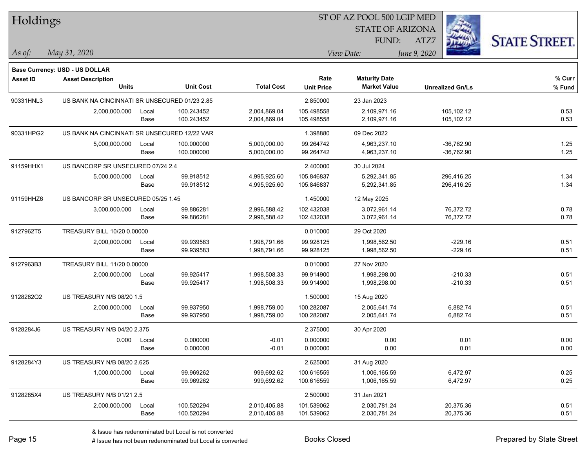| Holdings        |                                               |       |                  |                   | ST OF AZ POOL 500 LGIP MED |                         |              |                         |                      |  |
|-----------------|-----------------------------------------------|-------|------------------|-------------------|----------------------------|-------------------------|--------------|-------------------------|----------------------|--|
|                 |                                               |       |                  |                   |                            | <b>STATE OF ARIZONA</b> |              |                         |                      |  |
|                 |                                               |       |                  |                   |                            | FUND:                   | ATZ7         |                         | <b>STATE STREET.</b> |  |
| As of:          | May 31, 2020                                  |       |                  |                   |                            | View Date:              | June 9, 2020 |                         |                      |  |
|                 | Base Currency: USD - US DOLLAR                |       |                  |                   |                            |                         |              |                         |                      |  |
| <b>Asset ID</b> | <b>Asset Description</b>                      |       |                  |                   | Rate                       | <b>Maturity Date</b>    |              |                         | % Curr               |  |
|                 | <b>Units</b>                                  |       | <b>Unit Cost</b> | <b>Total Cost</b> | <b>Unit Price</b>          | <b>Market Value</b>     |              | <b>Unrealized Gn/Ls</b> | % Fund               |  |
| 90331HNL3       | US BANK NA CINCINNATI SR UNSECURED 01/23 2.85 |       |                  |                   | 2.850000                   | 23 Jan 2023             |              |                         |                      |  |
|                 | 2,000,000.000                                 | Local | 100.243452       | 2,004,869.04      | 105.498558                 | 2,109,971.16            |              | 105,102.12              | 0.53                 |  |
|                 |                                               | Base  | 100.243452       | 2,004,869.04      | 105.498558                 | 2,109,971.16            |              | 105,102.12              | 0.53                 |  |
| 90331HPG2       | US BANK NA CINCINNATI SR UNSECURED 12/22 VAR  |       |                  |                   | 1.398880                   | 09 Dec 2022             |              |                         |                      |  |
|                 | 5,000,000.000                                 | Local | 100.000000       | 5,000,000.00      | 99.264742                  | 4,963,237.10            |              | $-36,762.90$            | 1.25                 |  |
|                 |                                               | Base  | 100.000000       | 5,000,000.00      | 99.264742                  | 4,963,237.10            |              | $-36,762.90$            | 1.25                 |  |
| 91159HHX1       | US BANCORP SR UNSECURED 07/24 2.4             |       |                  |                   | 2.400000                   | 30 Jul 2024             |              |                         |                      |  |
|                 | 5,000,000.000                                 | Local | 99.918512        | 4,995,925.60      | 105.846837                 | 5,292,341.85            |              | 296,416.25              | 1.34                 |  |
|                 |                                               | Base  | 99.918512        | 4,995,925.60      | 105.846837                 | 5,292,341.85            |              | 296,416.25              | 1.34                 |  |
| 91159HHZ6       | US BANCORP SR UNSECURED 05/25 1.45            |       |                  |                   | 1.450000                   | 12 May 2025             |              |                         |                      |  |
|                 | 3,000,000.000                                 | Local | 99.886281        | 2,996,588.42      | 102.432038                 | 3,072,961.14            |              | 76,372.72               | 0.78                 |  |
|                 |                                               | Base  | 99.886281        | 2,996,588.42      | 102.432038                 | 3,072,961.14            |              | 76,372.72               | 0.78                 |  |
| 9127962T5       | TREASURY BILL 10/20 0.00000                   |       |                  |                   | 0.010000                   | 29 Oct 2020             |              |                         |                      |  |
|                 | 2,000,000.000                                 | Local | 99.939583        | 1,998,791.66      | 99.928125                  | 1,998,562.50            |              | -229.16                 | 0.51                 |  |
|                 |                                               | Base  | 99.939583        | 1,998,791.66      | 99.928125                  | 1,998,562.50            |              | $-229.16$               | 0.51                 |  |
| 9127963B3       | TREASURY BILL 11/20 0.00000                   |       |                  |                   | 0.010000                   | 27 Nov 2020             |              |                         |                      |  |
|                 | 2,000,000.000                                 | Local | 99.925417        | 1,998,508.33      | 99.914900                  | 1,998,298.00            |              | $-210.33$               | 0.51                 |  |
|                 |                                               | Base  | 99.925417        | 1,998,508.33      | 99.914900                  | 1,998,298.00            |              | $-210.33$               | 0.51                 |  |
| 9128282Q2       | US TREASURY N/B 08/20 1.5                     |       |                  |                   | 1.500000                   | 15 Aug 2020             |              |                         |                      |  |
|                 | 2,000,000.000                                 | Local | 99.937950        | 1,998,759.00      | 100.282087                 | 2,005,641.74            |              | 6,882.74                | 0.51                 |  |
|                 |                                               | Base  | 99.937950        | 1,998,759.00      | 100.282087                 | 2,005,641.74            |              | 6,882.74                | 0.51                 |  |
| 9128284J6       | US TREASURY N/B 04/20 2.375                   |       |                  |                   | 2.375000                   | 30 Apr 2020             |              |                         |                      |  |
|                 | 0.000                                         | Local | 0.000000         | $-0.01$           | 0.000000                   | 0.00                    |              | 0.01                    | 0.00                 |  |
|                 |                                               | Base  | 0.000000         | $-0.01$           | 0.000000                   | 0.00                    |              | 0.01                    | 0.00                 |  |
| 9128284Y3       | US TREASURY N/B 08/20 2.625                   |       |                  |                   | 2.625000                   | 31 Aug 2020             |              |                         |                      |  |
|                 | 1,000,000.000                                 | Local | 99.969262        | 999,692.62        | 100.616559                 | 1,006,165.59            |              | 6,472.97                | 0.25                 |  |
|                 |                                               | Base  | 99.969262        | 999,692.62        | 100.616559                 | 1,006,165.59            |              | 6,472.97                | 0.25                 |  |
| 9128285X4       | US TREASURY N/B 01/21 2.5                     |       |                  |                   | 2.500000                   | 31 Jan 2021             |              |                         |                      |  |
|                 | 2,000,000.000                                 | Local | 100.520294       | 2,010,405.88      | 101.539062                 | 2,030,781.24            |              | 20,375.36               | 0.51                 |  |
|                 |                                               | Base  | 100.520294       | 2,010,405.88      | 101.539062                 | 2,030,781.24            |              | 20,375.36               | 0.51                 |  |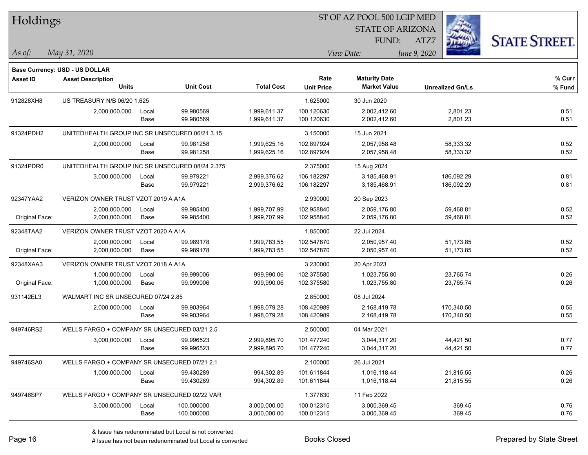| Holdings        |                                                 |       |                  |                   |                   | ST OF AZ POOL 500 LGIP MED |              |                         |                      |
|-----------------|-------------------------------------------------|-------|------------------|-------------------|-------------------|----------------------------|--------------|-------------------------|----------------------|
|                 |                                                 |       |                  |                   |                   | <b>STATE OF ARIZONA</b>    |              |                         |                      |
|                 |                                                 |       |                  |                   |                   | FUND:                      | ATZ7         |                         | <b>STATE STREET.</b> |
| As of:          | May 31, 2020                                    |       |                  |                   |                   | View Date:                 | June 9, 2020 |                         |                      |
|                 | Base Currency: USD - US DOLLAR                  |       |                  |                   |                   |                            |              |                         |                      |
| <b>Asset ID</b> | <b>Asset Description</b>                        |       |                  |                   | Rate              | <b>Maturity Date</b>       |              |                         | % Curr               |
|                 | <b>Units</b>                                    |       | <b>Unit Cost</b> | <b>Total Cost</b> | <b>Unit Price</b> | <b>Market Value</b>        |              | <b>Unrealized Gn/Ls</b> | % Fund               |
| 912828XH8       | US TREASURY N/B 06/20 1.625                     |       |                  |                   | 1.625000          | 30 Jun 2020                |              |                         |                      |
|                 | 2,000,000.000                                   | Local | 99.980569        | 1,999,611.37      | 100.120630        | 2,002,412.60               |              | 2,801.23                | 0.51                 |
|                 |                                                 | Base  | 99.980569        | 1,999,611.37      | 100.120630        | 2,002,412.60               |              | 2,801.23                | 0.51                 |
| 91324PDH2       | UNITEDHEALTH GROUP INC SR UNSECURED 06/21 3.15  |       |                  |                   | 3.150000          | 15 Jun 2021                |              |                         |                      |
|                 | 2,000,000.000                                   | Local | 99.981258        | 1,999,625.16      | 102.897924        | 2,057,958.48               |              | 58,333.32               | 0.52                 |
|                 |                                                 | Base  | 99.981258        | 1,999,625.16      | 102.897924        | 2,057,958.48               |              | 58,333.32               | 0.52                 |
| 91324PDR0       | UNITEDHEALTH GROUP INC SR UNSECURED 08/24 2.375 |       |                  |                   | 2.375000          | 15 Aug 2024                |              |                         |                      |
|                 | 3,000,000.000                                   | Local | 99.979221        | 2,999,376.62      | 106.182297        | 3,185,468.91               |              | 186,092.29              | 0.81                 |
|                 |                                                 | Base  | 99.979221        | 2,999,376.62      | 106.182297        | 3,185,468.91               |              | 186,092.29              | 0.81                 |
| 92347YAA2       | VERIZON OWNER TRUST VZOT 2019 A A1A             |       |                  |                   | 2.930000          | 20 Sep 2023                |              |                         |                      |
|                 | 2,000,000.000                                   | Local | 99.985400        | 1,999,707.99      | 102.958840        | 2,059,176.80               |              | 59,468.81               | 0.52                 |
| Original Face:  | 2,000,000.000                                   | Base  | 99.985400        | 1,999,707.99      | 102.958840        | 2,059,176.80               |              | 59,468.81               | 0.52                 |
| 92348TAA2       | VERIZON OWNER TRUST VZOT 2020 A A1A             |       |                  |                   | 1.850000          | 22 Jul 2024                |              |                         |                      |
|                 | 2,000,000.000                                   | Local | 99.989178        | 1,999,783.55      | 102.547870        | 2,050,957.40               |              | 51,173.85               | 0.52                 |
| Original Face:  | 2,000,000.000                                   | Base  | 99.989178        | 1,999,783.55      | 102.547870        | 2,050,957.40               |              | 51,173.85               | 0.52                 |
| 92348XAA3       | VERIZON OWNER TRUST VZOT 2018 A A1A             |       |                  |                   | 3.230000          | 20 Apr 2023                |              |                         |                      |
|                 | 1,000,000.000                                   | Local | 99.999006        | 999,990.06        | 102.375580        | 1,023,755.80               |              | 23,765.74               | 0.26                 |
| Original Face:  | 1,000,000.000                                   | Base  | 99.999006        | 999,990.06        | 102.375580        | 1,023,755.80               |              | 23,765.74               | 0.26                 |
| 931142EL3       | WALMART INC SR UNSECURED 07/24 2.85             |       |                  |                   | 2.850000          | 08 Jul 2024                |              |                         |                      |
|                 | 2,000,000.000                                   | Local | 99.903964        | 1,998,079.28      | 108.420989        | 2,168,419.78               |              | 170.340.50              | 0.55                 |
|                 |                                                 | Base  | 99.903964        | 1,998,079.28      | 108.420989        | 2,168,419.78               |              | 170,340.50              | 0.55                 |
| 949746RS2       | WELLS FARGO + COMPANY SR UNSECURED 03/21 2.5    |       |                  |                   | 2.500000          | 04 Mar 2021                |              |                         |                      |
|                 | 3,000,000.000                                   | Local | 99.996523        | 2,999,895.70      | 101.477240        | 3,044,317.20               |              | 44,421.50               | 0.77                 |
|                 |                                                 | Base  | 99.996523        | 2,999,895.70      | 101.477240        | 3,044,317.20               |              | 44,421.50               | 0.77                 |
| 949746SA0       | WELLS FARGO + COMPANY SR UNSECURED 07/21 2.1    |       |                  |                   | 2.100000          | 26 Jul 2021                |              |                         |                      |
|                 | 1,000,000.000                                   | Local | 99.430289        | 994,302.89        | 101.611844        | 1,016,118.44               |              | 21,815.55               | 0.26                 |
|                 |                                                 | Base  | 99.430289        | 994,302.89        | 101.611844        | 1,016,118.44               |              | 21,815.55               | 0.26                 |
| 949746SP7       | WELLS FARGO + COMPANY SR UNSECURED 02/22 VAR    |       |                  |                   | 1.377630          | 11 Feb 2022                |              |                         |                      |
|                 | 3,000,000.000                                   | Local | 100.000000       | 3,000,000.00      | 100.012315        | 3,000,369.45               |              | 369.45                  | 0.76                 |
|                 |                                                 | Base  | 100.000000       | 3,000,000.00      | 100.012315        | 3,000,369.45               |              | 369.45                  | 0.76                 |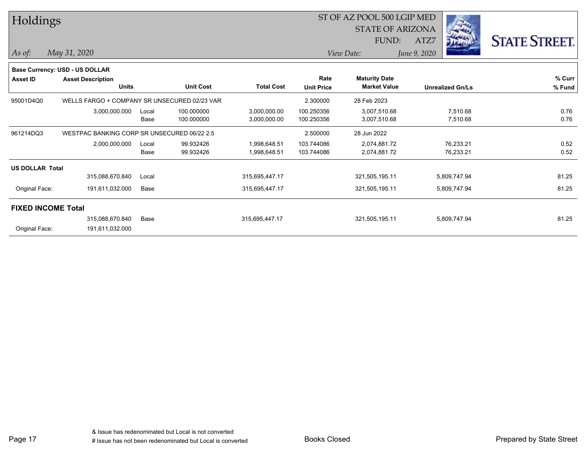| Holdings               |                                              |               |                          |                              |                           | ST OF AZ POOL 500 LGIP MED<br><b>STATE OF ARIZONA</b> |                         |                      |
|------------------------|----------------------------------------------|---------------|--------------------------|------------------------------|---------------------------|-------------------------------------------------------|-------------------------|----------------------|
|                        |                                              |               |                          |                              |                           | FUND:                                                 | ATZ7                    | <b>STATE STREET.</b> |
| As of:                 | May 31, 2020                                 |               |                          |                              |                           | View Date:                                            | June 9, 2020            |                      |
|                        | <b>Base Currency: USD - US DOLLAR</b>        |               |                          |                              |                           |                                                       |                         |                      |
| <b>Asset ID</b>        | <b>Asset Description</b><br><b>Units</b>     |               | <b>Unit Cost</b>         | <b>Total Cost</b>            | Rate<br><b>Unit Price</b> | <b>Maturity Date</b><br><b>Market Value</b>           | <b>Unrealized Gn/Ls</b> | % Curr<br>% Fund     |
| 95001D4Q0              | WELLS FARGO + COMPANY SR UNSECURED 02/23 VAR |               |                          |                              | 2.300000                  | 28 Feb 2023                                           |                         |                      |
|                        | 3,000,000.000                                | Local<br>Base | 100.000000<br>100.000000 | 3,000,000.00<br>3,000,000.00 | 100.250356<br>100.250356  | 3,007,510.68<br>3,007,510.68                          | 7,510.68<br>7,510.68    | 0.76<br>0.76         |
| 961214DQ3              | WESTPAC BANKING CORP SR UNSECURED 06/22 2.5  |               |                          |                              | 2.500000                  | 28 Jun 2022                                           |                         |                      |
|                        | 2,000,000.000                                | Local<br>Base | 99.932426<br>99.932426   | 1,998,648.51<br>1,998,648.51 | 103.744086<br>103.744086  | 2,074,881.72<br>2,074,881.72                          | 76,233.21<br>76,233.21  | 0.52<br>0.52         |
| <b>US DOLLAR Total</b> |                                              |               |                          |                              |                           |                                                       |                         |                      |
|                        | 315,088,670.840                              | Local         |                          | 315,695,447.17               |                           | 321,505,195.11                                        | 5,809,747.94            | 81.25                |
| Original Face:         | 191,611,032.000                              | Base          |                          | 315,695,447.17               |                           | 321,505,195.11                                        | 5,809,747.94            | 81.25                |
|                        | <b>FIXED INCOME Total</b>                    |               |                          |                              |                           |                                                       |                         |                      |
| Original Face:         | 315,088,670.840<br>191,611,032.000           | Base          |                          | 315,695,447.17               |                           | 321,505,195.11                                        | 5,809,747.94            | 81.25                |

Page 17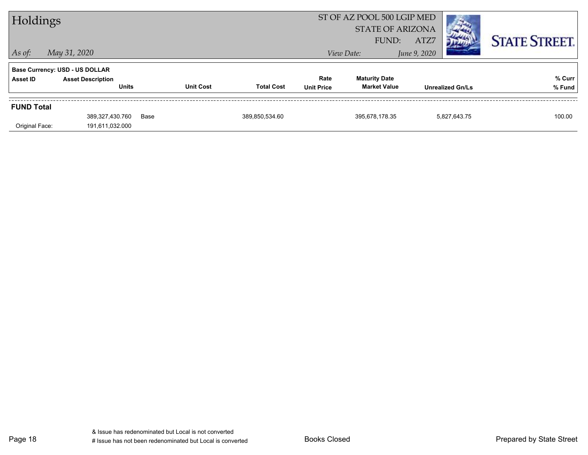| Holdings          |                                          |      |                  |                   |                           | ST OF AZ POOL 500 LGIP MED<br><b>STATE OF ARIZONA</b><br>FUND: | ATZ7         |                         | <b>STATE STREET.</b> |
|-------------------|------------------------------------------|------|------------------|-------------------|---------------------------|----------------------------------------------------------------|--------------|-------------------------|----------------------|
| $ $ As of:        | May 31, 2020                             |      |                  |                   |                           | View Date:                                                     | June 9, 2020 |                         |                      |
|                   | <b>Base Currency: USD - US DOLLAR</b>    |      |                  |                   |                           |                                                                |              |                         |                      |
| Asset ID          | <b>Asset Description</b><br><b>Units</b> |      | <b>Unit Cost</b> | <b>Total Cost</b> | Rate<br><b>Unit Price</b> | <b>Maturity Date</b><br><b>Market Value</b>                    |              | <b>Unrealized Gn/Ls</b> | % Curr<br>% Fund     |
| <b>FUND Total</b> |                                          |      |                  |                   |                           |                                                                |              |                         |                      |
| Original Face:    | 389,327,430.760<br>191,611,032.000       | Base |                  | 389,850,534.60    |                           | 395,678,178.35                                                 |              | 5,827,643.75            | 100.00               |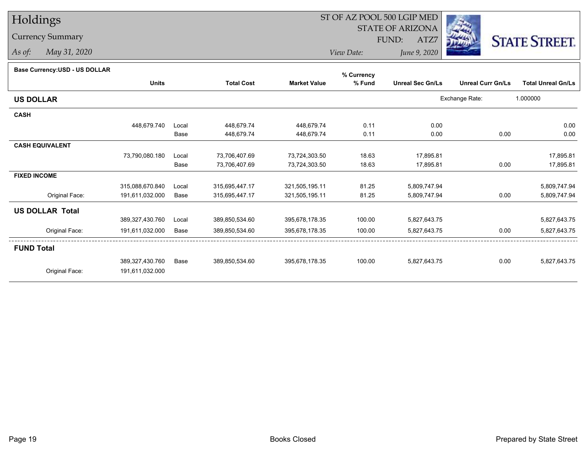# Holdings

### Currency Summary

*As of: May 31, 2020*

## ST OF AZ POOL 500 LGIP MED

 STATE OF ARIZONAFUND:

ATZ7



*View Date:June 9, 2020*

|  | Base Currency: USD - US DOLLAR |
|--|--------------------------------|
|  |                                |

| Dase Currency.COD - OO DOLLAR |                 |       |                   |                     | % Currency |                         |                          |                           |
|-------------------------------|-----------------|-------|-------------------|---------------------|------------|-------------------------|--------------------------|---------------------------|
|                               | <b>Units</b>    |       | <b>Total Cost</b> | <b>Market Value</b> | % Fund     | <b>Unreal Sec Gn/Ls</b> | <b>Unreal Curr Gn/Ls</b> | <b>Total Unreal Gn/Ls</b> |
| <b>US DOLLAR</b>              |                 |       |                   |                     |            |                         | Exchange Rate:           | 1.000000                  |
| <b>CASH</b>                   |                 |       |                   |                     |            |                         |                          |                           |
|                               | 448,679.740     | Local | 448,679.74        | 448,679.74          | 0.11       | 0.00                    |                          | 0.00                      |
|                               |                 | Base  | 448,679.74        | 448,679.74          | 0.11       | 0.00                    | 0.00                     | 0.00                      |
| <b>CASH EQUIVALENT</b>        |                 |       |                   |                     |            |                         |                          |                           |
|                               | 73,790,080.180  | Local | 73,706,407.69     | 73,724,303.50       | 18.63      | 17,895.81               |                          | 17,895.81                 |
|                               |                 | Base  | 73,706,407.69     | 73,724,303.50       | 18.63      | 17,895.81               | 0.00                     | 17,895.81                 |
| <b>FIXED INCOME</b>           |                 |       |                   |                     |            |                         |                          |                           |
|                               | 315,088,670.840 | Local | 315,695,447.17    | 321,505,195.11      | 81.25      | 5,809,747.94            |                          | 5,809,747.94              |
| Original Face:                | 191,611,032.000 | Base  | 315,695,447.17    | 321,505,195.11      | 81.25      | 5,809,747.94            | 0.00                     | 5,809,747.94              |
| <b>US DOLLAR Total</b>        |                 |       |                   |                     |            |                         |                          |                           |
|                               | 389,327,430.760 | Local | 389,850,534.60    | 395,678,178.35      | 100.00     | 5,827,643.75            |                          | 5,827,643.75              |
| Original Face:                | 191,611,032.000 | Base  | 389,850,534.60    | 395,678,178.35      | 100.00     | 5,827,643.75            | 0.00                     | 5,827,643.75              |
| <b>FUND Total</b>             |                 |       |                   |                     |            |                         |                          |                           |
|                               | 389,327,430.760 | Base  | 389,850,534.60    | 395,678,178.35      | 100.00     | 5,827,643.75            | 0.00                     | 5,827,643.75              |
| Original Face:                | 191,611,032.000 |       |                   |                     |            |                         |                          |                           |
|                               |                 |       |                   |                     |            |                         |                          |                           |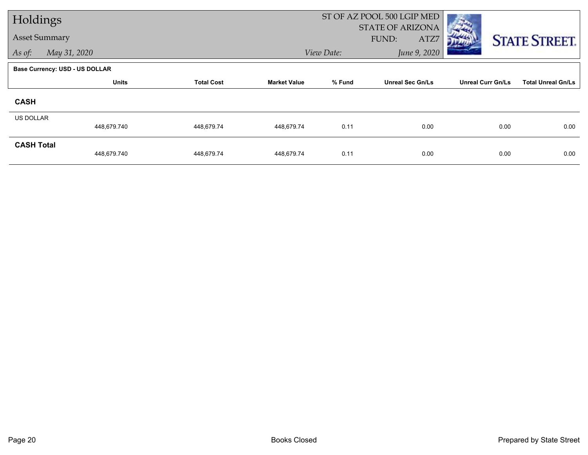| Holdings             |                                       |                   |                     |                            | ST OF AZ POOL 500 LGIP MED               |                          |                           |
|----------------------|---------------------------------------|-------------------|---------------------|----------------------------|------------------------------------------|--------------------------|---------------------------|
| <b>Asset Summary</b> |                                       |                   |                     |                            | <b>STATE OF ARIZONA</b><br>FUND:<br>ATZ7 |                          | <b>STATE STREET.</b>      |
| As of:               | May 31, 2020                          |                   |                     | June 9, 2020<br>View Date: |                                          |                          |                           |
|                      | <b>Base Currency: USD - US DOLLAR</b> |                   |                     |                            |                                          |                          |                           |
|                      | <b>Units</b>                          | <b>Total Cost</b> | <b>Market Value</b> | % Fund                     | <b>Unreal Sec Gn/Ls</b>                  | <b>Unreal Curr Gn/Ls</b> | <b>Total Unreal Gn/Ls</b> |
| <b>CASH</b>          |                                       |                   |                     |                            |                                          |                          |                           |
| <b>US DOLLAR</b>     | 448,679.740                           | 448,679.74        | 448,679.74          | 0.11                       | 0.00                                     | 0.00                     | 0.00                      |
| <b>CASH Total</b>    | 448,679.740                           | 448,679.74        | 448,679.74          | 0.11                       | 0.00                                     | 0.00                     | 0.00                      |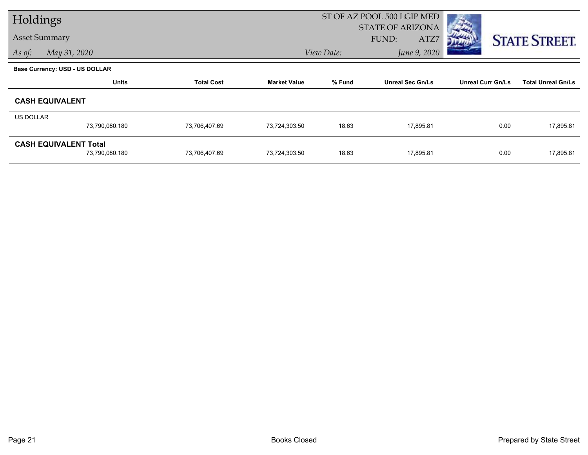| Holdings  |                                |                   |                     |            | ST OF AZ POOL 500 LGIP MED |                          |                           |
|-----------|--------------------------------|-------------------|---------------------|------------|----------------------------|--------------------------|---------------------------|
|           |                                |                   |                     |            | <b>STATE OF ARIZONA</b>    |                          |                           |
|           | <b>Asset Summary</b>           |                   |                     |            | FUND:<br>ATZ7              |                          | <b>STATE STREET.</b>      |
| As of:    | May 31, 2020                   |                   |                     | View Date: | June 9, 2020               |                          |                           |
|           | Base Currency: USD - US DOLLAR |                   |                     |            |                            |                          |                           |
|           | <b>Units</b>                   | <b>Total Cost</b> | <b>Market Value</b> | % Fund     | <b>Unreal Sec Gn/Ls</b>    | <b>Unreal Curr Gn/Ls</b> | <b>Total Unreal Gn/Ls</b> |
|           | <b>CASH EQUIVALENT</b>         |                   |                     |            |                            |                          |                           |
| US DOLLAR |                                |                   |                     |            |                            |                          |                           |
|           | 73,790,080.180                 | 73,706,407.69     | 73,724,303.50       | 18.63      | 17,895.81                  | 0.00                     | 17,895.81                 |
|           | <b>CASH EQUIVALENT Total</b>   |                   |                     |            |                            |                          |                           |
|           | 73,790,080.180                 | 73,706,407.69     | 73,724,303.50       | 18.63      | 17,895.81                  | 0.00                     | 17,895.81                 |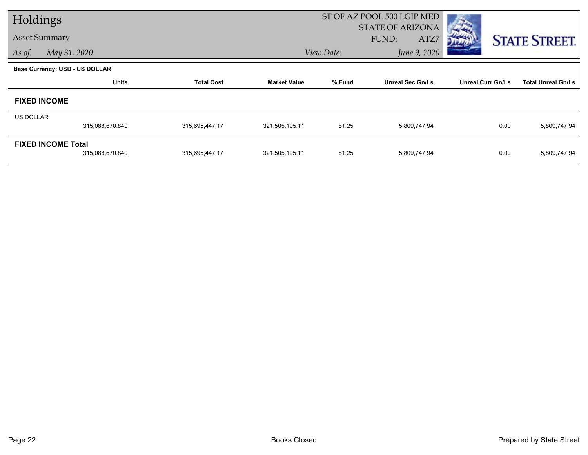| Holdings         |                                              |                   |                     |                            | ST OF AZ POOL 500 LGIP MED               |                          |                           |  |
|------------------|----------------------------------------------|-------------------|---------------------|----------------------------|------------------------------------------|--------------------------|---------------------------|--|
|                  | <b>Asset Summary</b>                         |                   |                     |                            | <b>STATE OF ARIZONA</b><br>FUND:<br>ATZ7 |                          | <b>STATE STREET.</b>      |  |
| As of:           | May 31, 2020                                 |                   |                     | June 9, 2020<br>View Date: |                                          |                          |                           |  |
|                  | <b>Base Currency: USD - US DOLLAR</b>        |                   |                     |                            |                                          |                          |                           |  |
|                  | <b>Units</b>                                 | <b>Total Cost</b> | <b>Market Value</b> | % Fund                     | <b>Unreal Sec Gn/Ls</b>                  | <b>Unreal Curr Gn/Ls</b> | <b>Total Unreal Gn/Ls</b> |  |
|                  | <b>FIXED INCOME</b>                          |                   |                     |                            |                                          |                          |                           |  |
| <b>US DOLLAR</b> |                                              |                   |                     |                            |                                          |                          |                           |  |
|                  | 315,088,670.840                              | 315,695,447.17    | 321,505,195.11      | 81.25                      | 5,809,747.94                             | 0.00                     | 5,809,747.94              |  |
|                  | <b>FIXED INCOME Total</b><br>315,088,670.840 | 315,695,447.17    | 321,505,195.11      | 81.25                      | 5,809,747.94                             | 0.00                     | 5,809,747.94              |  |
|                  |                                              |                   |                     |                            |                                          |                          |                           |  |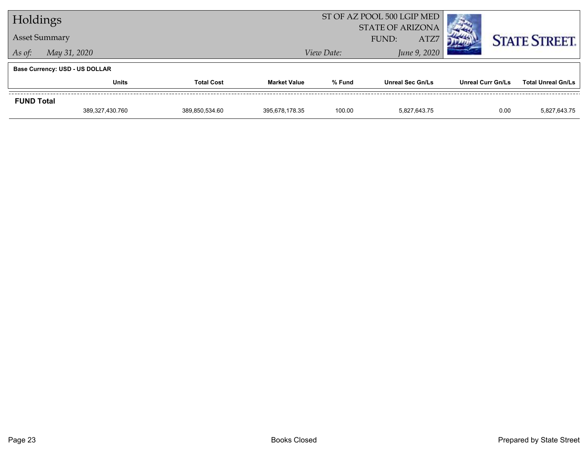| Holdings                              |                 |                   | ST OF AZ POOL 500 LGIP MED |                                          |                         |                          |                           |
|---------------------------------------|-----------------|-------------------|----------------------------|------------------------------------------|-------------------------|--------------------------|---------------------------|
| <b>Asset Summary</b>                  |                 |                   |                            | <b>STATE OF ARIZONA</b><br>ATZ7<br>FUND: |                         |                          | <b>STATE STREET.</b>      |
| May 31, 2020<br>As of:                |                 |                   |                            | View Date:                               | June 9, 2020            |                          |                           |
| <b>Base Currency: USD - US DOLLAR</b> |                 |                   |                            |                                          |                         |                          |                           |
|                                       | <b>Units</b>    | <b>Total Cost</b> | <b>Market Value</b>        | % Fund                                   | <b>Unreal Sec Gn/Ls</b> | <b>Unreal Curr Gn/Ls</b> | <b>Total Unreal Gn/Ls</b> |
| <b>FUND Total</b>                     |                 |                   |                            |                                          |                         |                          |                           |
|                                       | 389,327,430.760 | 389.850.534.60    | 395,678,178.35             | 100.00                                   | 5.827.643.75            | 0.00                     | 5,827,643.75              |